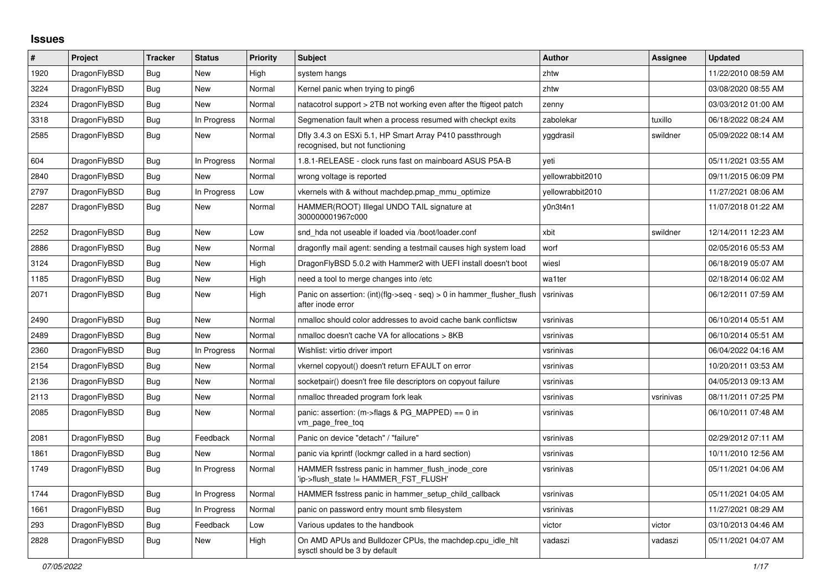## **Issues**

| $\#$ | Project      | <b>Tracker</b> | <b>Status</b> | <b>Priority</b> | <b>Subject</b>                                                                             | <b>Author</b>    | Assignee  | <b>Updated</b>      |
|------|--------------|----------------|---------------|-----------------|--------------------------------------------------------------------------------------------|------------------|-----------|---------------------|
| 1920 | DragonFlyBSD | <b>Bug</b>     | <b>New</b>    | High            | system hangs                                                                               | zhtw             |           | 11/22/2010 08:59 AM |
| 3224 | DragonFlyBSD | Bug            | New           | Normal          | Kernel panic when trying to ping6                                                          | zhtw             |           | 03/08/2020 08:55 AM |
| 2324 | DragonFlyBSD | <b>Bug</b>     | New           | Normal          | natacotrol support > 2TB not working even after the ftigeot patch                          | zenny            |           | 03/03/2012 01:00 AM |
| 3318 | DragonFlyBSD | Bug            | In Progress   | Normal          | Segmenation fault when a process resumed with checkpt exits                                | zabolekar        | tuxillo   | 06/18/2022 08:24 AM |
| 2585 | DragonFlyBSD | Bug            | <b>New</b>    | Normal          | Dfly 3.4.3 on ESXi 5.1, HP Smart Array P410 passthrough<br>recognised, but not functioning | yggdrasil        | swildner  | 05/09/2022 08:14 AM |
| 604  | DragonFlyBSD | <b>Bug</b>     | In Progress   | Normal          | 1.8.1-RELEASE - clock runs fast on mainboard ASUS P5A-B                                    | yeti             |           | 05/11/2021 03:55 AM |
| 2840 | DragonFlyBSD | Bug            | New           | Normal          | wrong voltage is reported                                                                  | yellowrabbit2010 |           | 09/11/2015 06:09 PM |
| 2797 | DragonFlyBSD | <b>Bug</b>     | In Progress   | Low             | vkernels with & without machdep.pmap mmu optimize                                          | yellowrabbit2010 |           | 11/27/2021 08:06 AM |
| 2287 | DragonFlyBSD | Bug            | New           | Normal          | HAMMER(ROOT) Illegal UNDO TAIL signature at<br>300000001967c000                            | y0n3t4n1         |           | 11/07/2018 01:22 AM |
| 2252 | DragonFlyBSD | <b>Bug</b>     | New           | Low             | snd hda not useable if loaded via /boot/loader.conf                                        | xbit             | swildner  | 12/14/2011 12:23 AM |
| 2886 | DragonFlyBSD | Bug            | <b>New</b>    | Normal          | dragonfly mail agent: sending a testmail causes high system load                           | worf             |           | 02/05/2016 05:53 AM |
| 3124 | DragonFlyBSD | <b>Bug</b>     | <b>New</b>    | High            | DragonFlyBSD 5.0.2 with Hammer2 with UEFI install doesn't boot                             | wiesl            |           | 06/18/2019 05:07 AM |
| 1185 | DragonFlyBSD | Bug            | New           | High            | need a tool to merge changes into /etc                                                     | wa1ter           |           | 02/18/2014 06:02 AM |
| 2071 | DragonFlyBSD | Bug            | New           | High            | Panic on assertion: (int)(flg->seq - seq) > 0 in hammer flusher flush<br>after inode error | vsrinivas        |           | 06/12/2011 07:59 AM |
| 2490 | DragonFlyBSD | Bug            | <b>New</b>    | Normal          | nmalloc should color addresses to avoid cache bank conflictsw                              | vsrinivas        |           | 06/10/2014 05:51 AM |
| 2489 | DragonFlyBSD | Bug            | <b>New</b>    | Normal          | nmalloc doesn't cache VA for allocations > 8KB                                             | vsrinivas        |           | 06/10/2014 05:51 AM |
| 2360 | DragonFlyBSD | <b>Bug</b>     | In Progress   | Normal          | Wishlist: virtio driver import                                                             | vsrinivas        |           | 06/04/2022 04:16 AM |
| 2154 | DragonFlyBSD | Bug            | New           | Normal          | vkernel copyout() doesn't return EFAULT on error                                           | vsrinivas        |           | 10/20/2011 03:53 AM |
| 2136 | DragonFlyBSD | Bug            | New           | Normal          | socketpair() doesn't free file descriptors on copyout failure                              | vsrinivas        |           | 04/05/2013 09:13 AM |
| 2113 | DragonFlyBSD | Bug            | New           | Normal          | nmalloc threaded program fork leak                                                         | vsrinivas        | vsrinivas | 08/11/2011 07:25 PM |
| 2085 | DragonFlyBSD | Bug            | New           | Normal          | panic: assertion: $(m\rightarrow$ flags & PG MAPPED) == 0 in<br>vm_page_free_toq           | vsrinivas        |           | 06/10/2011 07:48 AM |
| 2081 | DragonFlyBSD | <b>Bug</b>     | Feedback      | Normal          | Panic on device "detach" / "failure"                                                       | vsrinivas        |           | 02/29/2012 07:11 AM |
| 1861 | DragonFlyBSD | Bug            | New           | Normal          | panic via kprintf (lockmgr called in a hard section)                                       | vsrinivas        |           | 10/11/2010 12:56 AM |
| 1749 | DragonFlyBSD | <b>Bug</b>     | In Progress   | Normal          | HAMMER fsstress panic in hammer flush inode core<br>'ip->flush state != HAMMER FST FLUSH'  | vsrinivas        |           | 05/11/2021 04:06 AM |
| 1744 | DragonFlyBSD | Bug            | In Progress   | Normal          | HAMMER fsstress panic in hammer setup child callback                                       | vsrinivas        |           | 05/11/2021 04:05 AM |
| 1661 | DragonFlyBSD | Bug            | In Progress   | Normal          | panic on password entry mount smb filesystem                                               | vsrinivas        |           | 11/27/2021 08:29 AM |
| 293  | DragonFlyBSD | Bug            | Feedback      | Low             | Various updates to the handbook                                                            | victor           | victor    | 03/10/2013 04:46 AM |
| 2828 | DragonFlyBSD | <b>Bug</b>     | <b>New</b>    | High            | On AMD APUs and Bulldozer CPUs, the machdep.cpu_idle_hlt<br>sysctl should be 3 by default  | vadaszi          | vadaszi   | 05/11/2021 04:07 AM |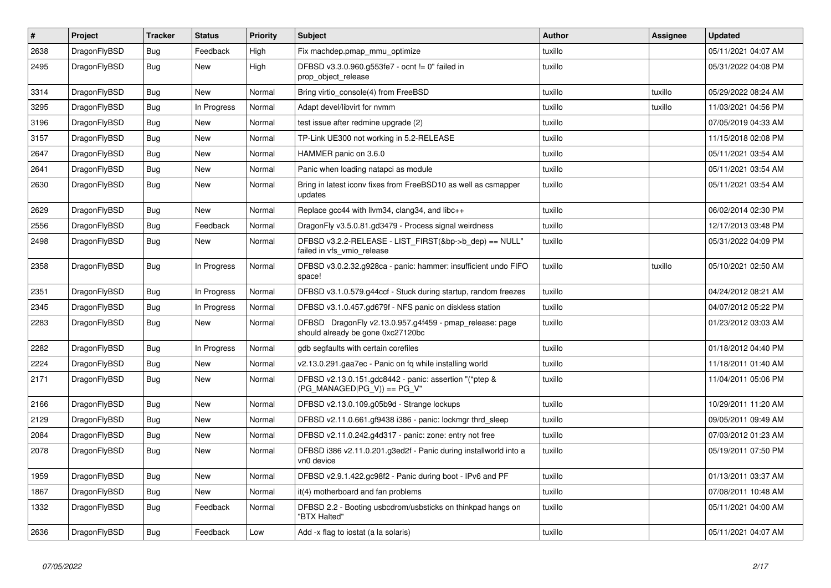| $\vert$ # | <b>Project</b> | <b>Tracker</b> | <b>Status</b> | <b>Priority</b> | <b>Subject</b>                                                                               | <b>Author</b> | Assignee | <b>Updated</b>      |
|-----------|----------------|----------------|---------------|-----------------|----------------------------------------------------------------------------------------------|---------------|----------|---------------------|
| 2638      | DragonFlyBSD   | Bug            | Feedback      | High            | Fix machdep.pmap mmu optimize                                                                | tuxillo       |          | 05/11/2021 04:07 AM |
| 2495      | DragonFlyBSD   | <b>Bug</b>     | New           | High            | DFBSD v3.3.0.960.g553fe7 - ocnt != 0" failed in<br>prop object release                       | tuxillo       |          | 05/31/2022 04:08 PM |
| 3314      | DragonFlyBSD   | Bug            | New           | Normal          | Bring virtio_console(4) from FreeBSD                                                         | tuxillo       | tuxillo  | 05/29/2022 08:24 AM |
| 3295      | DragonFlyBSD   | Bug            | In Progress   | Normal          | Adapt devel/libvirt for nvmm                                                                 | tuxillo       | tuxillo  | 11/03/2021 04:56 PM |
| 3196      | DragonFlyBSD   | <b>Bug</b>     | New           | Normal          | test issue after redmine upgrade (2)                                                         | tuxillo       |          | 07/05/2019 04:33 AM |
| 3157      | DragonFlyBSD   | Bug            | New           | Normal          | TP-Link UE300 not working in 5.2-RELEASE                                                     | tuxillo       |          | 11/15/2018 02:08 PM |
| 2647      | DragonFlyBSD   | Bug            | New           | Normal          | HAMMER panic on 3.6.0                                                                        | tuxillo       |          | 05/11/2021 03:54 AM |
| 2641      | DragonFlyBSD   | <b>Bug</b>     | <b>New</b>    | Normal          | Panic when loading natapci as module                                                         | tuxillo       |          | 05/11/2021 03:54 AM |
| 2630      | DragonFlyBSD   | <b>Bug</b>     | New           | Normal          | Bring in latest iconv fixes from FreeBSD10 as well as csmapper<br>updates                    | tuxillo       |          | 05/11/2021 03:54 AM |
| 2629      | DragonFlyBSD   | <b>Bug</b>     | New           | Normal          | Replace gcc44 with llvm34, clang34, and libc++                                               | tuxillo       |          | 06/02/2014 02:30 PM |
| 2556      | DragonFlyBSD   | <b>Bug</b>     | Feedback      | Normal          | DragonFly v3.5.0.81.gd3479 - Process signal weirdness                                        | tuxillo       |          | 12/17/2013 03:48 PM |
| 2498      | DragonFlyBSD   | Bug            | New           | Normal          | DFBSD v3.2.2-RELEASE - LIST_FIRST(&bp->b_dep) == NULL"<br>failed in vfs vmio release         | tuxillo       |          | 05/31/2022 04:09 PM |
| 2358      | DragonFlyBSD   | <b>Bug</b>     | In Progress   | Normal          | DFBSD v3.0.2.32.g928ca - panic: hammer: insufficient undo FIFO<br>space!                     | tuxillo       | tuxillo  | 05/10/2021 02:50 AM |
| 2351      | DragonFlyBSD   | <b>Bug</b>     | In Progress   | Normal          | DFBSD v3.1.0.579.g44ccf - Stuck during startup, random freezes                               | tuxillo       |          | 04/24/2012 08:21 AM |
| 2345      | DragonFlyBSD   | <b>Bug</b>     | In Progress   | Normal          | DFBSD v3.1.0.457.gd679f - NFS panic on diskless station                                      | tuxillo       |          | 04/07/2012 05:22 PM |
| 2283      | DragonFlyBSD   | <b>Bug</b>     | <b>New</b>    | Normal          | DFBSD DragonFly v2.13.0.957.g4f459 - pmap_release: page<br>should already be gone 0xc27120bc | tuxillo       |          | 01/23/2012 03:03 AM |
| 2282      | DragonFlyBSD   | <b>Bug</b>     | In Progress   | Normal          | gdb segfaults with certain corefiles                                                         | tuxillo       |          | 01/18/2012 04:40 PM |
| 2224      | DragonFlyBSD   | Bug            | <b>New</b>    | Normal          | v2.13.0.291.gaa7ec - Panic on fg while installing world                                      | tuxillo       |          | 11/18/2011 01:40 AM |
| 2171      | DragonFlyBSD   | Bug            | <b>New</b>    | Normal          | DFBSD v2.13.0.151.gdc8442 - panic: assertion "(*ptep &<br>(PG_MANAGED PG_V)) == PG_V"        | tuxillo       |          | 11/04/2011 05:06 PM |
| 2166      | DragonFlyBSD   | <b>Bug</b>     | New           | Normal          | DFBSD v2.13.0.109.g05b9d - Strange lockups                                                   | tuxillo       |          | 10/29/2011 11:20 AM |
| 2129      | DragonFlyBSD   | Bug            | New           | Normal          | DFBSD v2.11.0.661.gf9438 i386 - panic: lockmgr thrd sleep                                    | tuxillo       |          | 09/05/2011 09:49 AM |
| 2084      | DragonFlyBSD   | Bug            | New           | Normal          | DFBSD v2.11.0.242.g4d317 - panic: zone: entry not free                                       | tuxillo       |          | 07/03/2012 01:23 AM |
| 2078      | DragonFlyBSD   | <b>Bug</b>     | New           | Normal          | DFBSD i386 v2.11.0.201.g3ed2f - Panic during installworld into a<br>vn0 device               | tuxillo       |          | 05/19/2011 07:50 PM |
| 1959      | DragonFlyBSD   | Bug            | New           | Normal          | DFBSD v2.9.1.422.gc98f2 - Panic during boot - IPv6 and PF                                    | tuxillo       |          | 01/13/2011 03:37 AM |
| 1867      | DragonFlyBSD   | <b>Bug</b>     | <b>New</b>    | Normal          | it(4) motherboard and fan problems                                                           | tuxillo       |          | 07/08/2011 10:48 AM |
| 1332      | DragonFlyBSD   | <b>Bug</b>     | Feedback      | Normal          | DFBSD 2.2 - Booting usbcdrom/usbsticks on thinkpad hangs on<br>"BTX Halted"                  | tuxillo       |          | 05/11/2021 04:00 AM |
| 2636      | DragonFlyBSD   | Bug            | Feedback      | Low             | Add -x flag to iostat (a la solaris)                                                         | tuxillo       |          | 05/11/2021 04:07 AM |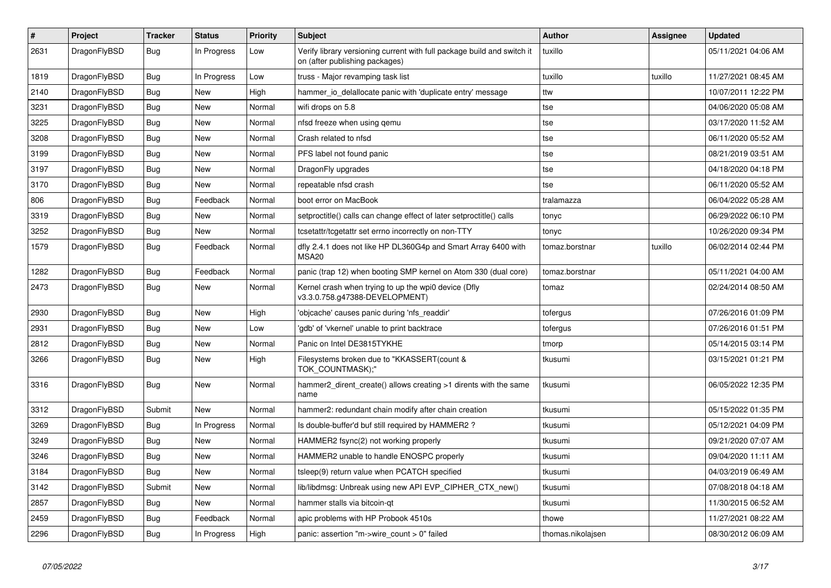| $\vert$ # | Project      | <b>Tracker</b> | <b>Status</b> | <b>Priority</b> | <b>Subject</b>                                                                                            | <b>Author</b>     | Assignee | <b>Updated</b>      |
|-----------|--------------|----------------|---------------|-----------------|-----------------------------------------------------------------------------------------------------------|-------------------|----------|---------------------|
| 2631      | DragonFlyBSD | Bug            | In Progress   | Low             | Verify library versioning current with full package build and switch it<br>on (after publishing packages) | tuxillo           |          | 05/11/2021 04:06 AM |
| 1819      | DragonFlyBSD | Bug            | In Progress   | Low             | truss - Major revamping task list                                                                         | tuxillo           | tuxillo  | 11/27/2021 08:45 AM |
| 2140      | DragonFlyBSD | <b>Bug</b>     | <b>New</b>    | High            | hammer io delallocate panic with 'duplicate entry' message                                                | ttw               |          | 10/07/2011 12:22 PM |
| 3231      | DragonFlyBSD | <b>Bug</b>     | New           | Normal          | wifi drops on 5.8                                                                                         | tse               |          | 04/06/2020 05:08 AM |
| 3225      | DragonFlyBSD | Bug            | <b>New</b>    | Normal          | nfsd freeze when using qemu                                                                               | tse               |          | 03/17/2020 11:52 AM |
| 3208      | DragonFlyBSD | Bug            | <b>New</b>    | Normal          | Crash related to nfsd                                                                                     | tse               |          | 06/11/2020 05:52 AM |
| 3199      | DragonFlyBSD | <b>Bug</b>     | <b>New</b>    | Normal          | PFS label not found panic                                                                                 | tse               |          | 08/21/2019 03:51 AM |
| 3197      | DragonFlyBSD | Bug            | <b>New</b>    | Normal          | DragonFly upgrades                                                                                        | tse               |          | 04/18/2020 04:18 PM |
| 3170      | DragonFlyBSD | Bug            | New           | Normal          | repeatable nfsd crash                                                                                     | tse               |          | 06/11/2020 05:52 AM |
| 806       | DragonFlyBSD | Bug            | Feedback      | Normal          | boot error on MacBook                                                                                     | tralamazza        |          | 06/04/2022 05:28 AM |
| 3319      | DragonFlyBSD | Bug            | New           | Normal          | setproctitle() calls can change effect of later setproctitle() calls                                      | tonyc             |          | 06/29/2022 06:10 PM |
| 3252      | DragonFlyBSD | Bug            | <b>New</b>    | Normal          | tcsetattr/tcgetattr set errno incorrectly on non-TTY                                                      | tonyc             |          | 10/26/2020 09:34 PM |
| 1579      | DragonFlyBSD | Bug            | Feedback      | Normal          | dfly 2.4.1 does not like HP DL360G4p and Smart Array 6400 with<br><b>MSA20</b>                            | tomaz.borstnar    | tuxillo  | 06/02/2014 02:44 PM |
| 1282      | DragonFlyBSD | <b>Bug</b>     | Feedback      | Normal          | panic (trap 12) when booting SMP kernel on Atom 330 (dual core)                                           | tomaz.borstnar    |          | 05/11/2021 04:00 AM |
| 2473      | DragonFlyBSD | <b>Bug</b>     | New           | Normal          | Kernel crash when trying to up the wpi0 device (Dfly<br>v3.3.0.758.g47388-DEVELOPMENT)                    | tomaz             |          | 02/24/2014 08:50 AM |
| 2930      | DragonFlyBSD | <b>Bug</b>     | <b>New</b>    | High            | 'objcache' causes panic during 'nfs_readdir'                                                              | tofergus          |          | 07/26/2016 01:09 PM |
| 2931      | DragonFlyBSD | Bug            | <b>New</b>    | Low             | gdb' of 'vkernel' unable to print backtrace                                                               | tofergus          |          | 07/26/2016 01:51 PM |
| 2812      | DragonFlyBSD | <b>Bug</b>     | <b>New</b>    | Normal          | Panic on Intel DE3815TYKHE                                                                                | tmorp             |          | 05/14/2015 03:14 PM |
| 3266      | DragonFlyBSD | <b>Bug</b>     | <b>New</b>    | High            | Filesystems broken due to "KKASSERT(count &<br>TOK COUNTMASK);"                                           | tkusumi           |          | 03/15/2021 01:21 PM |
| 3316      | DragonFlyBSD | <b>Bug</b>     | <b>New</b>    | Normal          | hammer2 dirent create() allows creating >1 dirents with the same<br>name                                  | tkusumi           |          | 06/05/2022 12:35 PM |
| 3312      | DragonFlyBSD | Submit         | <b>New</b>    | Normal          | hammer2: redundant chain modify after chain creation                                                      | tkusumi           |          | 05/15/2022 01:35 PM |
| 3269      | DragonFlyBSD | Bug            | In Progress   | Normal          | Is double-buffer'd buf still required by HAMMER2?                                                         | tkusumi           |          | 05/12/2021 04:09 PM |
| 3249      | DragonFlyBSD | Bug            | New           | Normal          | HAMMER2 fsync(2) not working properly                                                                     | tkusumi           |          | 09/21/2020 07:07 AM |
| 3246      | DragonFlyBSD | <b>Bug</b>     | <b>New</b>    | Normal          | HAMMER2 unable to handle ENOSPC properly                                                                  | tkusumi           |          | 09/04/2020 11:11 AM |
| 3184      | DragonFlyBSD | Bug            | New           | Normal          | tsleep(9) return value when PCATCH specified                                                              | tkusumi           |          | 04/03/2019 06:49 AM |
| 3142      | DragonFlyBSD | Submit         | New           | Normal          | lib/libdmsg: Unbreak using new API EVP CIPHER CTX new()                                                   | tkusumi           |          | 07/08/2018 04:18 AM |
| 2857      | DragonFlyBSD | <b>Bug</b>     | New           | Normal          | hammer stalls via bitcoin-qt                                                                              | tkusumi           |          | 11/30/2015 06:52 AM |
| 2459      | DragonFlyBSD | <b>Bug</b>     | Feedback      | Normal          | apic problems with HP Probook 4510s                                                                       | thowe             |          | 11/27/2021 08:22 AM |
| 2296      | DragonFlyBSD | Bug            | In Progress   | High            | panic: assertion "m->wire count > 0" failed                                                               | thomas.nikolajsen |          | 08/30/2012 06:09 AM |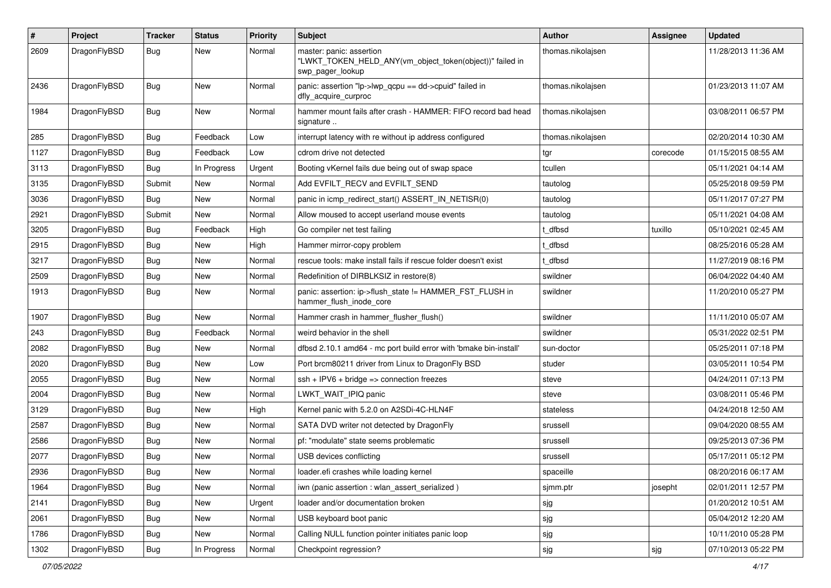| $\pmb{\#}$ | Project      | <b>Tracker</b> | <b>Status</b> | <b>Priority</b> | <b>Subject</b>                                                                                           | <b>Author</b>     | Assignee | <b>Updated</b>      |
|------------|--------------|----------------|---------------|-----------------|----------------------------------------------------------------------------------------------------------|-------------------|----------|---------------------|
| 2609       | DragonFlyBSD | Bug            | New           | Normal          | master: panic: assertion<br>"LWKT_TOKEN_HELD_ANY(vm_object_token(object))" failed in<br>swp_pager_lookup | thomas.nikolajsen |          | 11/28/2013 11:36 AM |
| 2436       | DragonFlyBSD | Bug            | New           | Normal          | panic: assertion "lp->lwp_qcpu == dd->cpuid" failed in<br>dfly_acquire_curproc                           | thomas.nikolaisen |          | 01/23/2013 11:07 AM |
| 1984       | DragonFlyBSD | Bug            | New           | Normal          | hammer mount fails after crash - HAMMER: FIFO record bad head<br>signature                               | thomas.nikolajsen |          | 03/08/2011 06:57 PM |
| 285        | DragonFlyBSD | <b>Bug</b>     | Feedback      | Low             | interrupt latency with re without ip address configured                                                  | thomas.nikolajsen |          | 02/20/2014 10:30 AM |
| 1127       | DragonFlyBSD | Bug            | Feedback      | Low             | cdrom drive not detected                                                                                 | tgr               | corecode | 01/15/2015 08:55 AM |
| 3113       | DragonFlyBSD | <b>Bug</b>     | In Progress   | Urgent          | Booting vKernel fails due being out of swap space                                                        | tcullen           |          | 05/11/2021 04:14 AM |
| 3135       | DragonFlyBSD | Submit         | New           | Normal          | Add EVFILT_RECV and EVFILT_SEND                                                                          | tautolog          |          | 05/25/2018 09:59 PM |
| 3036       | DragonFlyBSD | Bug            | New           | Normal          | panic in icmp_redirect_start() ASSERT_IN_NETISR(0)                                                       | tautolog          |          | 05/11/2017 07:27 PM |
| 2921       | DragonFlyBSD | Submit         | New           | Normal          | Allow moused to accept userland mouse events                                                             | tautolog          |          | 05/11/2021 04:08 AM |
| 3205       | DragonFlyBSD | <b>Bug</b>     | Feedback      | High            | Go compiler net test failing                                                                             | t dfbsd           | tuxillo  | 05/10/2021 02:45 AM |
| 2915       | DragonFlyBSD | Bug            | <b>New</b>    | High            | Hammer mirror-copy problem                                                                               | t dfbsd           |          | 08/25/2016 05:28 AM |
| 3217       | DragonFlyBSD | Bug            | New           | Normal          | rescue tools: make install fails if rescue folder doesn't exist                                          | t dfbsd           |          | 11/27/2019 08:16 PM |
| 2509       | DragonFlyBSD | Bug            | New           | Normal          | Redefinition of DIRBLKSIZ in restore(8)                                                                  | swildner          |          | 06/04/2022 04:40 AM |
| 1913       | DragonFlyBSD | <b>Bug</b>     | <b>New</b>    | Normal          | panic: assertion: ip->flush_state != HAMMER_FST_FLUSH in<br>hammer flush inode core                      | swildner          |          | 11/20/2010 05:27 PM |
| 1907       | DragonFlyBSD | Bug            | <b>New</b>    | Normal          | Hammer crash in hammer_flusher_flush()                                                                   | swildner          |          | 11/11/2010 05:07 AM |
| 243        | DragonFlyBSD | Bug            | Feedback      | Normal          | weird behavior in the shell                                                                              | swildner          |          | 05/31/2022 02:51 PM |
| 2082       | DragonFlyBSD | <b>Bug</b>     | New           | Normal          | dfbsd 2.10.1 amd64 - mc port build error with 'bmake bin-install'                                        | sun-doctor        |          | 05/25/2011 07:18 PM |
| 2020       | DragonFlyBSD | <b>Bug</b>     | New           | Low             | Port brcm80211 driver from Linux to DragonFly BSD                                                        | studer            |          | 03/05/2011 10:54 PM |
| 2055       | DragonFlyBSD | Bug            | New           | Normal          | $ssh + IPV6 + bridge \Rightarrow$ connection freezes                                                     | steve             |          | 04/24/2011 07:13 PM |
| 2004       | DragonFlyBSD | Bug            | New           | Normal          | LWKT WAIT IPIQ panic                                                                                     | steve             |          | 03/08/2011 05:46 PM |
| 3129       | DragonFlyBSD | <b>Bug</b>     | <b>New</b>    | High            | Kernel panic with 5.2.0 on A2SDi-4C-HLN4F                                                                | stateless         |          | 04/24/2018 12:50 AM |
| 2587       | DragonFlyBSD | <b>Bug</b>     | New           | Normal          | SATA DVD writer not detected by DragonFly                                                                | srussell          |          | 09/04/2020 08:55 AM |
| 2586       | DragonFlyBSD | Bug            | New           | Normal          | pf: "modulate" state seems problematic                                                                   | srussell          |          | 09/25/2013 07:36 PM |
| 2077       | DragonFlyBSD | Bug            | New           | Normal          | USB devices conflicting                                                                                  | srussell          |          | 05/17/2011 05:12 PM |
| 2936       | DragonFlyBSD | <b>Bug</b>     | New           | Normal          | loader.efi crashes while loading kernel                                                                  | spaceille         |          | 08/20/2016 06:17 AM |
| 1964       | DragonFlyBSD | <b>Bug</b>     | <b>New</b>    | Normal          | iwn (panic assertion : wlan assert serialized)                                                           | sjmm.ptr          | josepht  | 02/01/2011 12:57 PM |
| 2141       | DragonFlyBSD | <b>Bug</b>     | New           | Urgent          | loader and/or documentation broken                                                                       | sjg               |          | 01/20/2012 10:51 AM |
| 2061       | DragonFlyBSD | Bug            | New           | Normal          | USB keyboard boot panic                                                                                  | sjg               |          | 05/04/2012 12:20 AM |
| 1786       | DragonFlyBSD | Bug            | New           | Normal          | Calling NULL function pointer initiates panic loop                                                       | sjg               |          | 10/11/2010 05:28 PM |
| 1302       | DragonFlyBSD | Bug            | In Progress   | Normal          | Checkpoint regression?                                                                                   | sjg               | sjg      | 07/10/2013 05:22 PM |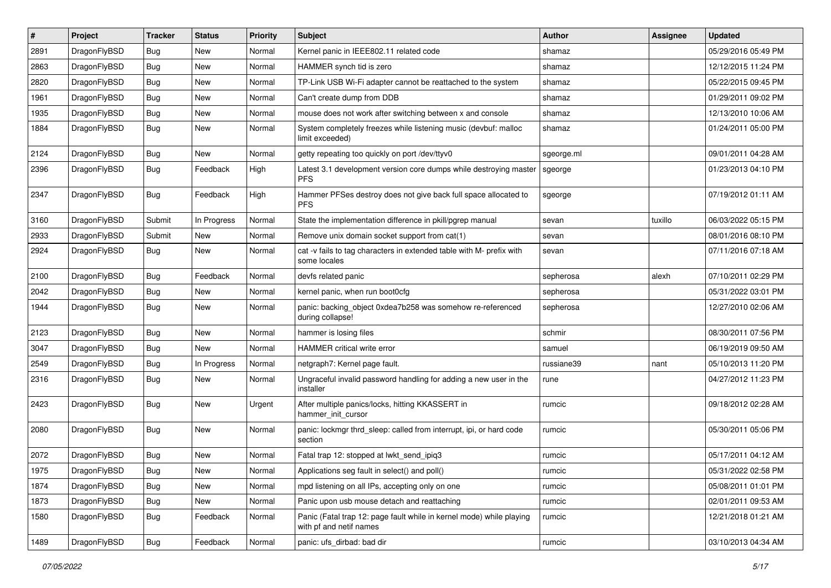| #    | Project      | <b>Tracker</b> | <b>Status</b> | <b>Priority</b> | <b>Subject</b>                                                                                  | Author     | Assignee | <b>Updated</b>      |
|------|--------------|----------------|---------------|-----------------|-------------------------------------------------------------------------------------------------|------------|----------|---------------------|
| 2891 | DragonFlyBSD | <b>Bug</b>     | <b>New</b>    | Normal          | Kernel panic in IEEE802.11 related code                                                         | shamaz     |          | 05/29/2016 05:49 PM |
| 2863 | DragonFlyBSD | <b>Bug</b>     | <b>New</b>    | Normal          | HAMMER synch tid is zero                                                                        | shamaz     |          | 12/12/2015 11:24 PM |
| 2820 | DragonFlyBSD | <b>Bug</b>     | <b>New</b>    | Normal          | TP-Link USB Wi-Fi adapter cannot be reattached to the system                                    | shamaz     |          | 05/22/2015 09:45 PM |
| 1961 | DragonFlyBSD | Bug            | <b>New</b>    | Normal          | Can't create dump from DDB                                                                      | shamaz     |          | 01/29/2011 09:02 PM |
| 1935 | DragonFlyBSD | <b>Bug</b>     | <b>New</b>    | Normal          | mouse does not work after switching between x and console                                       | shamaz     |          | 12/13/2010 10:06 AM |
| 1884 | DragonFlyBSD | <b>Bug</b>     | New           | Normal          | System completely freezes while listening music (devbuf: malloc<br>limit exceeded)              | shamaz     |          | 01/24/2011 05:00 PM |
| 2124 | DragonFlyBSD | <b>Bug</b>     | New           | Normal          | getty repeating too quickly on port /dev/ttyv0                                                  | sgeorge.ml |          | 09/01/2011 04:28 AM |
| 2396 | DragonFlyBSD | Bug            | Feedback      | High            | Latest 3.1 development version core dumps while destroying master<br><b>PFS</b>                 | sgeorge    |          | 01/23/2013 04:10 PM |
| 2347 | DragonFlyBSD | Bug            | Feedback      | High            | Hammer PFSes destroy does not give back full space allocated to<br><b>PFS</b>                   | sgeorge    |          | 07/19/2012 01:11 AM |
| 3160 | DragonFlyBSD | Submit         | In Progress   | Normal          | State the implementation difference in pkill/pgrep manual                                       | sevan      | tuxillo  | 06/03/2022 05:15 PM |
| 2933 | DragonFlyBSD | Submit         | New           | Normal          | Remove unix domain socket support from cat(1)                                                   | sevan      |          | 08/01/2016 08:10 PM |
| 2924 | DragonFlyBSD | Bug            | <b>New</b>    | Normal          | cat -v fails to tag characters in extended table with M- prefix with<br>some locales            | sevan      |          | 07/11/2016 07:18 AM |
| 2100 | DragonFlyBSD | <b>Bug</b>     | Feedback      | Normal          | devfs related panic                                                                             | sepherosa  | alexh    | 07/10/2011 02:29 PM |
| 2042 | DragonFlyBSD | <b>Bug</b>     | <b>New</b>    | Normal          | kernel panic, when run boot0cfg                                                                 | sepherosa  |          | 05/31/2022 03:01 PM |
| 1944 | DragonFlyBSD | <b>Bug</b>     | <b>New</b>    | Normal          | panic: backing_object 0xdea7b258 was somehow re-referenced<br>during collapse!                  | sepherosa  |          | 12/27/2010 02:06 AM |
| 2123 | DragonFlyBSD | <b>Bug</b>     | <b>New</b>    | Normal          | hammer is losing files                                                                          | schmir     |          | 08/30/2011 07:56 PM |
| 3047 | DragonFlyBSD | <b>Bug</b>     | New           | Normal          | HAMMER critical write error                                                                     | samuel     |          | 06/19/2019 09:50 AM |
| 2549 | DragonFlyBSD | Bug            | In Progress   | Normal          | netgraph7: Kernel page fault.                                                                   | russiane39 | nant     | 05/10/2013 11:20 PM |
| 2316 | DragonFlyBSD | <b>Bug</b>     | New           | Normal          | Ungraceful invalid password handling for adding a new user in the<br>installer                  | rune       |          | 04/27/2012 11:23 PM |
| 2423 | DragonFlyBSD | Bug            | New           | Urgent          | After multiple panics/locks, hitting KKASSERT in<br>hammer init cursor                          | rumcic     |          | 09/18/2012 02:28 AM |
| 2080 | DragonFlyBSD | <b>Bug</b>     | <b>New</b>    | Normal          | panic: lockmgr thrd_sleep: called from interrupt, ipi, or hard code<br>section                  | rumcic     |          | 05/30/2011 05:06 PM |
| 2072 | DragonFlyBSD | <b>Bug</b>     | <b>New</b>    | Normal          | Fatal trap 12: stopped at lwkt_send_ipiq3                                                       | rumcic     |          | 05/17/2011 04:12 AM |
| 1975 | DragonFlyBSD | Bug            | New           | Normal          | Applications seg fault in select() and poll()                                                   | rumcic     |          | 05/31/2022 02:58 PM |
| 1874 | DragonFlyBSD | <b>Bug</b>     | New           | Normal          | mpd listening on all IPs, accepting only on one                                                 | rumcic     |          | 05/08/2011 01:01 PM |
| 1873 | DragonFlyBSD | <b>Bug</b>     | New           | Normal          | Panic upon usb mouse detach and reattaching                                                     | rumcic     |          | 02/01/2011 09:53 AM |
| 1580 | DragonFlyBSD | Bug            | Feedback      | Normal          | Panic (Fatal trap 12: page fault while in kernel mode) while playing<br>with pf and netif names | rumcic     |          | 12/21/2018 01:21 AM |
| 1489 | DragonFlyBSD | <b>Bug</b>     | Feedback      | Normal          | panic: ufs_dirbad: bad dir                                                                      | rumcic     |          | 03/10/2013 04:34 AM |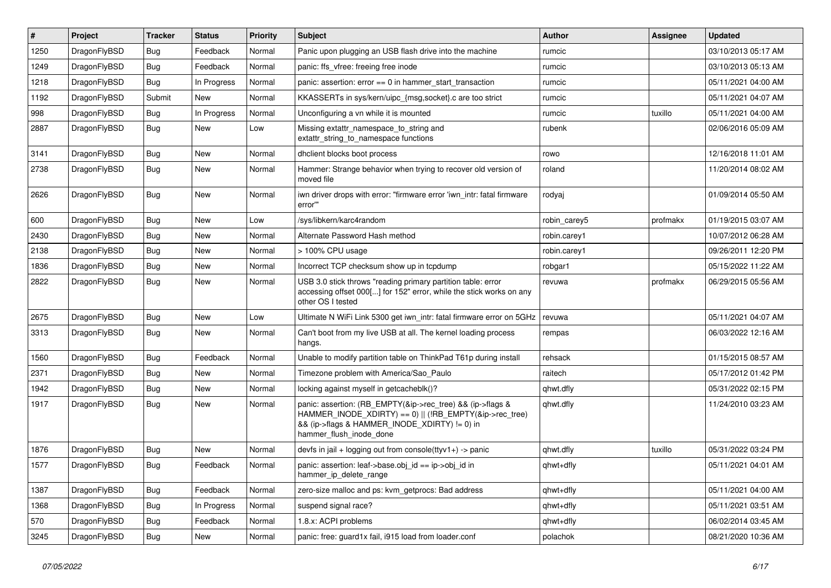| $\#$ | Project      | <b>Tracker</b> | <b>Status</b> | <b>Priority</b> | <b>Subject</b>                                                                                                                                                                                    | <b>Author</b> | <b>Assignee</b> | <b>Updated</b>      |
|------|--------------|----------------|---------------|-----------------|---------------------------------------------------------------------------------------------------------------------------------------------------------------------------------------------------|---------------|-----------------|---------------------|
| 1250 | DragonFlyBSD | Bug            | Feedback      | Normal          | Panic upon plugging an USB flash drive into the machine                                                                                                                                           | rumcic        |                 | 03/10/2013 05:17 AM |
| 1249 | DragonFlyBSD | Bug            | Feedback      | Normal          | panic: ffs vfree: freeing free inode                                                                                                                                                              | rumcic        |                 | 03/10/2013 05:13 AM |
| 1218 | DragonFlyBSD | Bug            | In Progress   | Normal          | panic: assertion: $error == 0$ in hammer_start_transaction                                                                                                                                        | rumcic        |                 | 05/11/2021 04:00 AM |
| 1192 | DragonFlyBSD | Submit         | New           | Normal          | KKASSERTs in sys/kern/uipc_{msg,socket}.c are too strict                                                                                                                                          | rumcic        |                 | 05/11/2021 04:07 AM |
| 998  | DragonFlyBSD | Bug            | In Progress   | Normal          | Unconfiguring a vn while it is mounted                                                                                                                                                            | rumcic        | tuxillo         | 05/11/2021 04:00 AM |
| 2887 | DragonFlyBSD | Bug            | New           | Low             | Missing extattr_namespace_to_string and<br>extattr string to namespace functions                                                                                                                  | rubenk        |                 | 02/06/2016 05:09 AM |
| 3141 | DragonFlyBSD | Bug            | <b>New</b>    | Normal          | dhclient blocks boot process                                                                                                                                                                      | rowo          |                 | 12/16/2018 11:01 AM |
| 2738 | DragonFlyBSD | Bug            | <b>New</b>    | Normal          | Hammer: Strange behavior when trying to recover old version of<br>moved file                                                                                                                      | roland        |                 | 11/20/2014 08:02 AM |
| 2626 | DragonFlyBSD | <b>Bug</b>     | <b>New</b>    | Normal          | iwn driver drops with error: "firmware error 'iwn intr: fatal firmware<br>error"                                                                                                                  | rodyaj        |                 | 01/09/2014 05:50 AM |
| 600  | DragonFlyBSD | <b>Bug</b>     | <b>New</b>    | Low             | /sys/libkern/karc4random                                                                                                                                                                          | robin_carey5  | profmakx        | 01/19/2015 03:07 AM |
| 2430 | DragonFlyBSD | Bug            | <b>New</b>    | Normal          | Alternate Password Hash method                                                                                                                                                                    | robin.carey1  |                 | 10/07/2012 06:28 AM |
| 2138 | DragonFlyBSD | <b>Bug</b>     | <b>New</b>    | Normal          | > 100% CPU usage                                                                                                                                                                                  | robin.carey1  |                 | 09/26/2011 12:20 PM |
| 1836 | DragonFlyBSD | <b>Bug</b>     | <b>New</b>    | Normal          | Incorrect TCP checksum show up in tcpdump                                                                                                                                                         | robgar1       |                 | 05/15/2022 11:22 AM |
| 2822 | DragonFlyBSD | <b>Bug</b>     | <b>New</b>    | Normal          | USB 3.0 stick throws "reading primary partition table: error<br>accessing offset 000[] for 152" error, while the stick works on any<br>other OS I tested                                          | revuwa        | profmakx        | 06/29/2015 05:56 AM |
| 2675 | DragonFlyBSD | Bug            | <b>New</b>    | Low             | Ultimate N WiFi Link 5300 get iwn_intr: fatal firmware error on 5GHz                                                                                                                              | revuwa        |                 | 05/11/2021 04:07 AM |
| 3313 | DragonFlyBSD | Bug            | New           | Normal          | Can't boot from my live USB at all. The kernel loading process<br>hangs.                                                                                                                          | rempas        |                 | 06/03/2022 12:16 AM |
| 1560 | DragonFlyBSD | <b>Bug</b>     | Feedback      | Normal          | Unable to modify partition table on ThinkPad T61p during install                                                                                                                                  | rehsack       |                 | 01/15/2015 08:57 AM |
| 2371 | DragonFlyBSD | Bug            | <b>New</b>    | Normal          | Timezone problem with America/Sao Paulo                                                                                                                                                           | raitech       |                 | 05/17/2012 01:42 PM |
| 1942 | DragonFlyBSD | <b>Bug</b>     | <b>New</b>    | Normal          | locking against myself in getcacheblk()?                                                                                                                                                          | qhwt.dfly     |                 | 05/31/2022 02:15 PM |
| 1917 | DragonFlyBSD | Bug            | <b>New</b>    | Normal          | panic: assertion: (RB_EMPTY(&ip->rec_tree) && (ip->flags &<br>HAMMER_INODE_XDIRTY) == 0)    (!RB_EMPTY(&ip->rec_tree)<br>&& (ip->flags & HAMMER_INODE_XDIRTY) != 0) in<br>hammer flush inode done | qhwt.dfly     |                 | 11/24/2010 03:23 AM |
| 1876 | DragonFlyBSD | Bug            | <b>New</b>    | Normal          | devfs in jail + logging out from console(ttyv1+) -> panic                                                                                                                                         | qhwt.dfly     | tuxillo         | 05/31/2022 03:24 PM |
| 1577 | DragonFlyBSD | Bug            | Feedback      | Normal          | panic: assertion: leaf->base.obj id == ip->obj id in<br>hammer_ip_delete_range                                                                                                                    | qhwt+dfly     |                 | 05/11/2021 04:01 AM |
| 1387 | DragonFlyBSD | Bug            | Feedback      | Normal          | zero-size malloc and ps: kvm getprocs: Bad address                                                                                                                                                | qhwt+dfly     |                 | 05/11/2021 04:00 AM |
| 1368 | DragonFlyBSD | Bug            | In Progress   | Normal          | suspend signal race?                                                                                                                                                                              | qhwt+dfly     |                 | 05/11/2021 03:51 AM |
| 570  | DragonFlyBSD | <b>Bug</b>     | Feedback      | Normal          | 1.8.x: ACPI problems                                                                                                                                                                              | qhwt+dfly     |                 | 06/02/2014 03:45 AM |
| 3245 | DragonFlyBSD | <b>Bug</b>     | <b>New</b>    | Normal          | panic: free: guard1x fail, i915 load from loader.conf                                                                                                                                             | polachok      |                 | 08/21/2020 10:36 AM |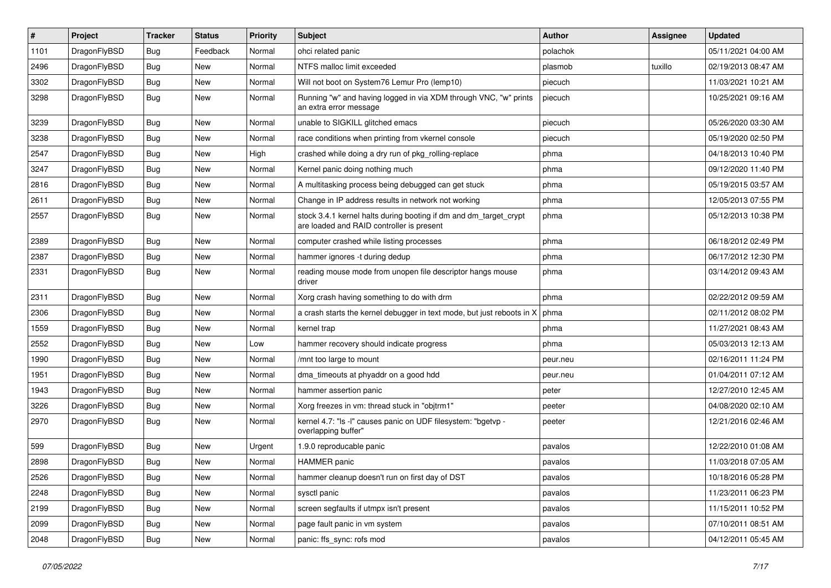| $\sharp$ | Project      | <b>Tracker</b> | <b>Status</b> | <b>Priority</b> | Subject                                                                                                        | Author   | Assignee | <b>Updated</b>      |
|----------|--------------|----------------|---------------|-----------------|----------------------------------------------------------------------------------------------------------------|----------|----------|---------------------|
| 1101     | DragonFlyBSD | <b>Bug</b>     | Feedback      | Normal          | ohci related panic                                                                                             | polachok |          | 05/11/2021 04:00 AM |
| 2496     | DragonFlyBSD | Bug            | New           | Normal          | NTFS malloc limit exceeded                                                                                     | plasmob  | tuxillo  | 02/19/2013 08:47 AM |
| 3302     | DragonFlyBSD | <b>Bug</b>     | New           | Normal          | Will not boot on System76 Lemur Pro (lemp10)                                                                   | piecuch  |          | 11/03/2021 10:21 AM |
| 3298     | DragonFlyBSD | <b>Bug</b>     | New           | Normal          | Running "w" and having logged in via XDM through VNC, "w" prints<br>an extra error message                     | piecuch  |          | 10/25/2021 09:16 AM |
| 3239     | DragonFlyBSD | Bug            | New           | Normal          | unable to SIGKILL glitched emacs                                                                               | piecuch  |          | 05/26/2020 03:30 AM |
| 3238     | DragonFlyBSD | Bug            | New           | Normal          | race conditions when printing from vkernel console                                                             | piecuch  |          | 05/19/2020 02:50 PM |
| 2547     | DragonFlyBSD | <b>Bug</b>     | New           | High            | crashed while doing a dry run of pkg_rolling-replace                                                           | phma     |          | 04/18/2013 10:40 PM |
| 3247     | DragonFlyBSD | <b>Bug</b>     | New           | Normal          | Kernel panic doing nothing much                                                                                | phma     |          | 09/12/2020 11:40 PM |
| 2816     | DragonFlyBSD | Bug            | <b>New</b>    | Normal          | A multitasking process being debugged can get stuck                                                            | phma     |          | 05/19/2015 03:57 AM |
| 2611     | DragonFlyBSD | <b>Bug</b>     | New           | Normal          | Change in IP address results in network not working                                                            | phma     |          | 12/05/2013 07:55 PM |
| 2557     | DragonFlyBSD | <b>Bug</b>     | <b>New</b>    | Normal          | stock 3.4.1 kernel halts during booting if dm and dm_target_crypt<br>are loaded and RAID controller is present | phma     |          | 05/12/2013 10:38 PM |
| 2389     | DragonFlyBSD | Bug            | New           | Normal          | computer crashed while listing processes                                                                       | phma     |          | 06/18/2012 02:49 PM |
| 2387     | DragonFlyBSD | Bug            | New           | Normal          | hammer ignores -t during dedup                                                                                 | phma     |          | 06/17/2012 12:30 PM |
| 2331     | DragonFlyBSD | Bug            | <b>New</b>    | Normal          | reading mouse mode from unopen file descriptor hangs mouse<br>driver                                           | phma     |          | 03/14/2012 09:43 AM |
| 2311     | DragonFlyBSD | Bug            | <b>New</b>    | Normal          | Xorg crash having something to do with drm                                                                     | phma     |          | 02/22/2012 09:59 AM |
| 2306     | DragonFlyBSD | Bug            | New           | Normal          | a crash starts the kernel debugger in text mode, but just reboots in X                                         | phma     |          | 02/11/2012 08:02 PM |
| 1559     | DragonFlyBSD | Bug            | New           | Normal          | kernel trap                                                                                                    | phma     |          | 11/27/2021 08:43 AM |
| 2552     | DragonFlyBSD | Bug            | New           | Low             | hammer recovery should indicate progress                                                                       | phma     |          | 05/03/2013 12:13 AM |
| 1990     | DragonFlyBSD | Bug            | New           | Normal          | /mnt too large to mount                                                                                        | peur.neu |          | 02/16/2011 11:24 PM |
| 1951     | DragonFlyBSD | Bug            | New           | Normal          | dma_timeouts at phyaddr on a good hdd                                                                          | peur.neu |          | 01/04/2011 07:12 AM |
| 1943     | DragonFlyBSD | Bug            | <b>New</b>    | Normal          | hammer assertion panic                                                                                         | peter    |          | 12/27/2010 12:45 AM |
| 3226     | DragonFlyBSD | <b>Bug</b>     | New           | Normal          | Xorg freezes in vm: thread stuck in "objtrm1"                                                                  | peeter   |          | 04/08/2020 02:10 AM |
| 2970     | DragonFlyBSD | Bug            | New           | Normal          | kernel 4.7: "Is -l" causes panic on UDF filesystem: "bgetvp -<br>overlapping buffer"                           | peeter   |          | 12/21/2016 02:46 AM |
| 599      | DragonFlyBSD | Bug            | <b>New</b>    | Urgent          | 1.9.0 reproducable panic                                                                                       | pavalos  |          | 12/22/2010 01:08 AM |
| 2898     | DragonFlyBSD | <b>Bug</b>     | New           | Normal          | <b>HAMMER</b> panic                                                                                            | pavalos  |          | 11/03/2018 07:05 AM |
| 2526     | DragonFlyBSD | <b>Bug</b>     | New           | Normal          | hammer cleanup doesn't run on first day of DST                                                                 | pavalos  |          | 10/18/2016 05:28 PM |
| 2248     | DragonFlyBSD | <b>Bug</b>     | <b>New</b>    | Normal          | sysctl panic                                                                                                   | pavalos  |          | 11/23/2011 06:23 PM |
| 2199     | DragonFlyBSD | <b>Bug</b>     | New           | Normal          | screen segfaults if utmpx isn't present                                                                        | pavalos  |          | 11/15/2011 10:52 PM |
| 2099     | DragonFlyBSD | <b>Bug</b>     | New           | Normal          | page fault panic in vm system                                                                                  | pavalos  |          | 07/10/2011 08:51 AM |
| 2048     | DragonFlyBSD | <b>Bug</b>     | New           | Normal          | panic: ffs_sync: rofs mod                                                                                      | pavalos  |          | 04/12/2011 05:45 AM |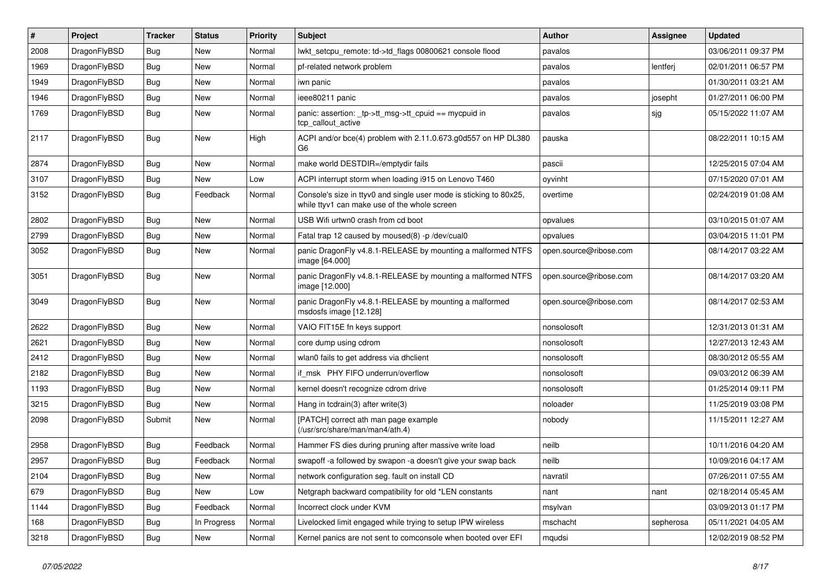| #    | Project      | <b>Tracker</b> | <b>Status</b> | <b>Priority</b> | Subject                                                                                                            | Author                 | Assignee  | <b>Updated</b>      |
|------|--------------|----------------|---------------|-----------------|--------------------------------------------------------------------------------------------------------------------|------------------------|-----------|---------------------|
| 2008 | DragonFlyBSD | <b>Bug</b>     | New           | Normal          | lwkt setcpu remote: td->td flags 00800621 console flood                                                            | pavalos                |           | 03/06/2011 09:37 PM |
| 1969 | DragonFlyBSD | <b>Bug</b>     | New           | Normal          | pf-related network problem                                                                                         | pavalos                | lentferj  | 02/01/2011 06:57 PM |
| 1949 | DragonFlyBSD | <b>Bug</b>     | New           | Normal          | iwn panic                                                                                                          | pavalos                |           | 01/30/2011 03:21 AM |
| 1946 | DragonFlyBSD | <b>Bug</b>     | New           | Normal          | ieee80211 panic                                                                                                    | pavalos                | josepht   | 01/27/2011 06:00 PM |
| 1769 | DragonFlyBSD | <b>Bug</b>     | <b>New</b>    | Normal          | panic: assertion: _tp->tt_msg->tt_cpuid == mycpuid in<br>tcp callout active                                        | pavalos                | sjg       | 05/15/2022 11:07 AM |
| 2117 | DragonFlyBSD | <b>Bug</b>     | <b>New</b>    | High            | ACPI and/or bce(4) problem with 2.11.0.673.g0d557 on HP DL380<br>G <sub>6</sub>                                    | pauska                 |           | 08/22/2011 10:15 AM |
| 2874 | DragonFlyBSD | <b>Bug</b>     | New           | Normal          | make world DESTDIR=/emptydir fails                                                                                 | pascii                 |           | 12/25/2015 07:04 AM |
| 3107 | DragonFlyBSD | Bug            | New           | Low             | ACPI interrupt storm when loading i915 on Lenovo T460                                                              | oyvinht                |           | 07/15/2020 07:01 AM |
| 3152 | DragonFlyBSD | <b>Bug</b>     | Feedback      | Normal          | Console's size in ttyv0 and single user mode is sticking to 80x25,<br>while ttyv1 can make use of the whole screen | overtime               |           | 02/24/2019 01:08 AM |
| 2802 | DragonFlyBSD | <b>Bug</b>     | New           | Normal          | USB Wifi urtwn0 crash from cd boot                                                                                 | opvalues               |           | 03/10/2015 01:07 AM |
| 2799 | DragonFlyBSD | <b>Bug</b>     | New           | Normal          | Fatal trap 12 caused by moused(8) -p/dev/cual0                                                                     | opvalues               |           | 03/04/2015 11:01 PM |
| 3052 | DragonFlyBSD | Bug            | New           | Normal          | panic DragonFly v4.8.1-RELEASE by mounting a malformed NTFS<br>image [64.000]                                      | open.source@ribose.com |           | 08/14/2017 03:22 AM |
| 3051 | DragonFlyBSD | <b>Bug</b>     | New           | Normal          | panic DragonFly v4.8.1-RELEASE by mounting a malformed NTFS<br>image [12.000]                                      | open.source@ribose.com |           | 08/14/2017 03:20 AM |
| 3049 | DragonFlyBSD | <b>Bug</b>     | <b>New</b>    | Normal          | panic DragonFly v4.8.1-RELEASE by mounting a malformed<br>msdosfs image [12.128]                                   | open.source@ribose.com |           | 08/14/2017 02:53 AM |
| 2622 | DragonFlyBSD | <b>Bug</b>     | New           | Normal          | VAIO FIT15E fn keys support                                                                                        | nonsolosoft            |           | 12/31/2013 01:31 AM |
| 2621 | DragonFlyBSD | <b>Bug</b>     | New           | Normal          | core dump using cdrom                                                                                              | nonsolosoft            |           | 12/27/2013 12:43 AM |
| 2412 | DragonFlyBSD | <b>Bug</b>     | <b>New</b>    | Normal          | wlan0 fails to get address via dhclient                                                                            | nonsolosoft            |           | 08/30/2012 05:55 AM |
| 2182 | DragonFlyBSD | <b>Bug</b>     | <b>New</b>    | Normal          | if msk PHY FIFO underrun/overflow                                                                                  | nonsolosoft            |           | 09/03/2012 06:39 AM |
| 1193 | DragonFlyBSD | <b>Bug</b>     | New           | Normal          | kernel doesn't recognize cdrom drive                                                                               | nonsolosoft            |           | 01/25/2014 09:11 PM |
| 3215 | DragonFlyBSD | <b>Bug</b>     | New           | Normal          | Hang in tcdrain(3) after write(3)                                                                                  | noloader               |           | 11/25/2019 03:08 PM |
| 2098 | DragonFlyBSD | Submit         | New           | Normal          | [PATCH] correct ath man page example<br>(/usr/src/share/man/man4/ath.4)                                            | nobody                 |           | 11/15/2011 12:27 AM |
| 2958 | DragonFlyBSD | <b>Bug</b>     | Feedback      | Normal          | Hammer FS dies during pruning after massive write load                                                             | neilb                  |           | 10/11/2016 04:20 AM |
| 2957 | DragonFlyBSD | <b>Bug</b>     | Feedback      | Normal          | swapoff -a followed by swapon -a doesn't give your swap back                                                       | neilb                  |           | 10/09/2016 04:17 AM |
| 2104 | DragonFlyBSD | <b>Bug</b>     | New           | Normal          | network configuration seg. fault on install CD                                                                     | navratil               |           | 07/26/2011 07:55 AM |
| 679  | DragonFlyBSD | <b>Bug</b>     | New           | Low             | Netgraph backward compatibility for old *LEN constants                                                             | nant                   | nant      | 02/18/2014 05:45 AM |
| 1144 | DragonFlyBSD | <b>Bug</b>     | Feedback      | Normal          | Incorrect clock under KVM                                                                                          | msylvan                |           | 03/09/2013 01:17 PM |
| 168  | DragonFlyBSD | <b>Bug</b>     | In Progress   | Normal          | Livelocked limit engaged while trying to setup IPW wireless                                                        | mschacht               | sepherosa | 05/11/2021 04:05 AM |
| 3218 | DragonFlyBSD | <b>Bug</b>     | New           | Normal          | Kernel panics are not sent to comconsole when booted over EFI                                                      | mqudsi                 |           | 12/02/2019 08:52 PM |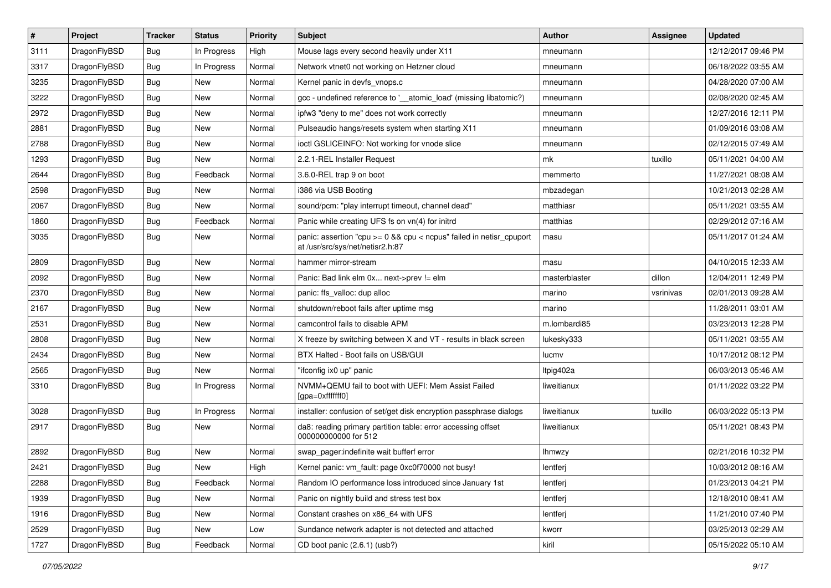| $\sharp$ | Project      | <b>Tracker</b> | <b>Status</b> | <b>Priority</b> | Subject                                                                                                 | <b>Author</b> | Assignee  | <b>Updated</b>      |
|----------|--------------|----------------|---------------|-----------------|---------------------------------------------------------------------------------------------------------|---------------|-----------|---------------------|
| 3111     | DragonFlyBSD | <b>Bug</b>     | In Progress   | High            | Mouse lags every second heavily under X11                                                               | mneumann      |           | 12/12/2017 09:46 PM |
| 3317     | DragonFlyBSD | <b>Bug</b>     | In Progress   | Normal          | Network vtnet0 not working on Hetzner cloud                                                             | mneumann      |           | 06/18/2022 03:55 AM |
| 3235     | DragonFlyBSD | <b>Bug</b>     | New           | Normal          | Kernel panic in devfs vnops.c                                                                           | mneumann      |           | 04/28/2020 07:00 AM |
| 3222     | DragonFlyBSD | <b>Bug</b>     | New           | Normal          | gcc - undefined reference to '__atomic_load' (missing libatomic?)                                       | mneumann      |           | 02/08/2020 02:45 AM |
| 2972     | DragonFlyBSD | <b>Bug</b>     | <b>New</b>    | Normal          | ipfw3 "deny to me" does not work correctly                                                              | mneumann      |           | 12/27/2016 12:11 PM |
| 2881     | DragonFlyBSD | <b>Bug</b>     | New           | Normal          | Pulseaudio hangs/resets system when starting X11                                                        | mneumann      |           | 01/09/2016 03:08 AM |
| 2788     | DragonFlyBSD | <b>Bug</b>     | New           | Normal          | ioctl GSLICEINFO: Not working for vnode slice                                                           | mneumann      |           | 02/12/2015 07:49 AM |
| 1293     | DragonFlyBSD | <b>Bug</b>     | New           | Normal          | 2.2.1-REL Installer Request                                                                             | mk            | tuxillo   | 05/11/2021 04:00 AM |
| 2644     | DragonFlyBSD | <b>Bug</b>     | Feedback      | Normal          | 3.6.0-REL trap 9 on boot                                                                                | memmerto      |           | 11/27/2021 08:08 AM |
| 2598     | DragonFlyBSD | <b>Bug</b>     | New           | Normal          | i386 via USB Booting                                                                                    | mbzadegan     |           | 10/21/2013 02:28 AM |
| 2067     | DragonFlyBSD | <b>Bug</b>     | New           | Normal          | sound/pcm: "play interrupt timeout, channel dead"                                                       | matthiasr     |           | 05/11/2021 03:55 AM |
| 1860     | DragonFlyBSD | <b>Bug</b>     | Feedback      | Normal          | Panic while creating UFS fs on vn(4) for initrd                                                         | matthias      |           | 02/29/2012 07:16 AM |
| 3035     | DragonFlyBSD | <b>Bug</b>     | New           | Normal          | panic: assertion "cpu >= 0 && cpu < ncpus" failed in netisr_cpuport<br>at /usr/src/sys/net/netisr2.h:87 | masu          |           | 05/11/2017 01:24 AM |
| 2809     | DragonFlyBSD | <b>Bug</b>     | <b>New</b>    | Normal          | hammer mirror-stream                                                                                    | masu          |           | 04/10/2015 12:33 AM |
| 2092     | DragonFlyBSD | <b>Bug</b>     | New           | Normal          | Panic: Bad link elm 0x next->prev != elm                                                                | masterblaster | dillon    | 12/04/2011 12:49 PM |
| 2370     | DragonFlyBSD | <b>Bug</b>     | New           | Normal          | panic: ffs_valloc: dup alloc                                                                            | marino        | vsrinivas | 02/01/2013 09:28 AM |
| 2167     | DragonFlyBSD | <b>Bug</b>     | <b>New</b>    | Normal          | shutdown/reboot fails after uptime msg                                                                  | marino        |           | 11/28/2011 03:01 AM |
| 2531     | DragonFlyBSD | <b>Bug</b>     | New           | Normal          | camcontrol fails to disable APM                                                                         | m.lombardi85  |           | 03/23/2013 12:28 PM |
| 2808     | DragonFlyBSD | <b>Bug</b>     | New           | Normal          | X freeze by switching between X and VT - results in black screen                                        | lukesky333    |           | 05/11/2021 03:55 AM |
| 2434     | DragonFlyBSD | <b>Bug</b>     | New           | Normal          | BTX Halted - Boot fails on USB/GUI                                                                      | lucmv         |           | 10/17/2012 08:12 PM |
| 2565     | DragonFlyBSD | <b>Bug</b>     | New           | Normal          | "ifconfig ix0 up" panic                                                                                 | Itpig402a     |           | 06/03/2013 05:46 AM |
| 3310     | DragonFlyBSD | <b>Bug</b>     | In Progress   | Normal          | NVMM+QEMU fail to boot with UEFI: Mem Assist Failed<br>[gpa=0xfffffff0]                                 | liweitianux   |           | 01/11/2022 03:22 PM |
| 3028     | DragonFlyBSD | <b>Bug</b>     | In Progress   | Normal          | installer: confusion of set/get disk encryption passphrase dialogs                                      | liweitianux   | tuxillo   | 06/03/2022 05:13 PM |
| 2917     | DragonFlyBSD | Bug            | New           | Normal          | da8: reading primary partition table: error accessing offset<br>000000000000 for 512                    | liweitianux   |           | 05/11/2021 08:43 PM |
| 2892     | DragonFlyBSD | Bug            | New           | Normal          | swap_pager:indefinite wait bufferf error                                                                | <b>Ihmwzy</b> |           | 02/21/2016 10:32 PM |
| 2421     | DragonFlyBSD | Bug            | New           | High            | Kernel panic: vm_fault: page 0xc0f70000 not busy!                                                       | lentferj      |           | 10/03/2012 08:16 AM |
| 2288     | DragonFlyBSD | Bug            | Feedback      | Normal          | Random IO performance loss introduced since January 1st                                                 | lentferj      |           | 01/23/2013 04:21 PM |
| 1939     | DragonFlyBSD | <b>Bug</b>     | <b>New</b>    | Normal          | Panic on nightly build and stress test box                                                              | lentferj      |           | 12/18/2010 08:41 AM |
| 1916     | DragonFlyBSD | <b>Bug</b>     | New           | Normal          | Constant crashes on x86_64 with UFS                                                                     | lentferj      |           | 11/21/2010 07:40 PM |
| 2529     | DragonFlyBSD | Bug            | New           | Low             | Sundance network adapter is not detected and attached                                                   | kworr         |           | 03/25/2013 02:29 AM |
| 1727     | DragonFlyBSD | <b>Bug</b>     | Feedback      | Normal          | CD boot panic (2.6.1) (usb?)                                                                            | kiril         |           | 05/15/2022 05:10 AM |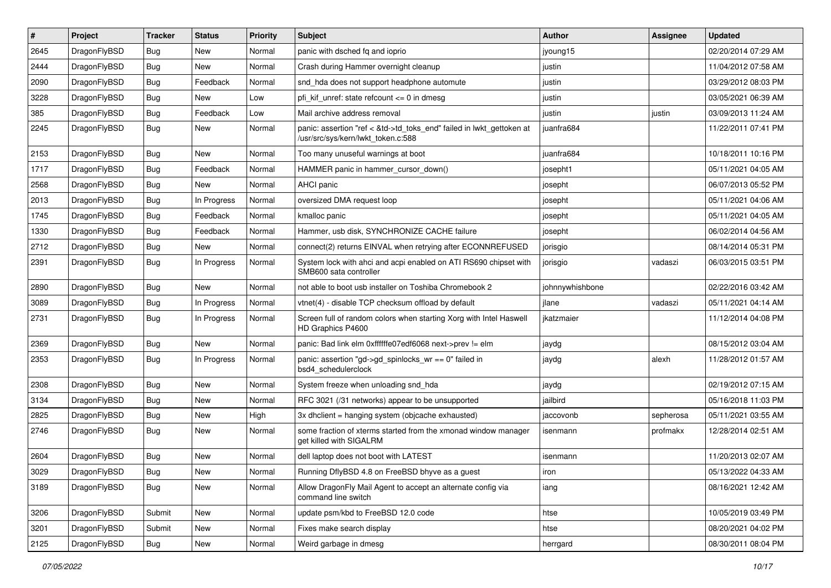| $\pmb{\#}$ | Project      | <b>Tracker</b> | <b>Status</b> | <b>Priority</b> | Subject                                                                                                    | Author          | Assignee  | <b>Updated</b>      |
|------------|--------------|----------------|---------------|-----------------|------------------------------------------------------------------------------------------------------------|-----------------|-----------|---------------------|
| 2645       | DragonFlyBSD | Bug            | <b>New</b>    | Normal          | panic with dsched fq and ioprio                                                                            | jyoung15        |           | 02/20/2014 07:29 AM |
| 2444       | DragonFlyBSD | Bug            | <b>New</b>    | Normal          | Crash during Hammer overnight cleanup                                                                      | justin          |           | 11/04/2012 07:58 AM |
| 2090       | DragonFlyBSD | <b>Bug</b>     | Feedback      | Normal          | snd hda does not support headphone automute                                                                | justin          |           | 03/29/2012 08:03 PM |
| 3228       | DragonFlyBSD | Bug            | New           | Low             | pfi kif unref: state refcount $\leq$ 0 in dmesg                                                            | justin          |           | 03/05/2021 06:39 AM |
| 385        | DragonFlyBSD | Bug            | Feedback      | Low             | Mail archive address removal                                                                               | justin          | justin    | 03/09/2013 11:24 AM |
| 2245       | DragonFlyBSD | Bug            | New           | Normal          | panic: assertion "ref < &td->td_toks_end" failed in lwkt_gettoken at<br>/usr/src/sys/kern/lwkt_token.c:588 | juanfra684      |           | 11/22/2011 07:41 PM |
| 2153       | DragonFlyBSD | Bug            | New           | Normal          | Too many unuseful warnings at boot                                                                         | juanfra684      |           | 10/18/2011 10:16 PM |
| 1717       | DragonFlyBSD | <b>Bug</b>     | Feedback      | Normal          | HAMMER panic in hammer cursor down()                                                                       | josepht1        |           | 05/11/2021 04:05 AM |
| 2568       | DragonFlyBSD | <b>Bug</b>     | New           | Normal          | <b>AHCI</b> panic                                                                                          | josepht         |           | 06/07/2013 05:52 PM |
| 2013       | DragonFlyBSD | Bug            | In Progress   | Normal          | oversized DMA request loop                                                                                 | josepht         |           | 05/11/2021 04:06 AM |
| 1745       | DragonFlyBSD | Bug            | Feedback      | Normal          | kmalloc panic                                                                                              | josepht         |           | 05/11/2021 04:05 AM |
| 1330       | DragonFlyBSD | <b>Bug</b>     | Feedback      | Normal          | Hammer, usb disk, SYNCHRONIZE CACHE failure                                                                | josepht         |           | 06/02/2014 04:56 AM |
| 2712       | DragonFlyBSD | Bug            | New           | Normal          | connect(2) returns EINVAL when retrying after ECONNREFUSED                                                 | jorisgio        |           | 08/14/2014 05:31 PM |
| 2391       | DragonFlyBSD | Bug            | In Progress   | Normal          | System lock with ahci and acpi enabled on ATI RS690 chipset with<br>SMB600 sata controller                 | jorisgio        | vadaszi   | 06/03/2015 03:51 PM |
| 2890       | DragonFlyBSD | Bug            | New           | Normal          | not able to boot usb installer on Toshiba Chromebook 2                                                     | johnnywhishbone |           | 02/22/2016 03:42 AM |
| 3089       | DragonFlyBSD | <b>Bug</b>     | In Progress   | Normal          | vtnet(4) - disable TCP checksum offload by default                                                         | jlane           | vadaszi   | 05/11/2021 04:14 AM |
| 2731       | DragonFlyBSD | <b>Bug</b>     | In Progress   | Normal          | Screen full of random colors when starting Xorg with Intel Haswell<br>HD Graphics P4600                    | ikatzmaier      |           | 11/12/2014 04:08 PM |
| 2369       | DragonFlyBSD | Bug            | New           | Normal          | panic: Bad link elm 0xffffffe07edf6068 next->prev != elm                                                   | jaydg           |           | 08/15/2012 03:04 AM |
| 2353       | DragonFlyBSD | Bug            | In Progress   | Normal          | panic: assertion "gd->gd_spinlocks_wr == 0" failed in<br>bsd4_schedulerclock                               | jaydg           | alexh     | 11/28/2012 01:57 AM |
| 2308       | DragonFlyBSD | Bug            | New           | Normal          | System freeze when unloading snd hda                                                                       | jaydg           |           | 02/19/2012 07:15 AM |
| 3134       | DragonFlyBSD | Bug            | New           | Normal          | RFC 3021 (/31 networks) appear to be unsupported                                                           | jailbird        |           | 05/16/2018 11:03 PM |
| 2825       | DragonFlyBSD | <b>Bug</b>     | <b>New</b>    | High            | 3x dhclient = hanging system (objcache exhausted)                                                          | jaccovonb       | sepherosa | 05/11/2021 03:55 AM |
| 2746       | DragonFlyBSD | <b>Bug</b>     | New           | Normal          | some fraction of xterms started from the xmonad window manager<br>get killed with SIGALRM                  | isenmann        | profmakx  | 12/28/2014 02:51 AM |
| 2604       | DragonFlyBSD | <b>Bug</b>     | New           | Normal          | dell laptop does not boot with LATEST                                                                      | isenmann        |           | 11/20/2013 02:07 AM |
| 3029       | DragonFlyBSD | Bug            | New           | Normal          | Running DflyBSD 4.8 on FreeBSD bhyve as a guest                                                            | ıron            |           | 05/13/2022 04:33 AM |
| 3189       | DragonFlyBSD | <b>Bug</b>     | New           | Normal          | Allow DragonFly Mail Agent to accept an alternate config via<br>command line switch                        | iang            |           | 08/16/2021 12:42 AM |
| 3206       | DragonFlyBSD | Submit         | New           | Normal          | update psm/kbd to FreeBSD 12.0 code                                                                        | htse            |           | 10/05/2019 03:49 PM |
| 3201       | DragonFlyBSD | Submit         | New           | Normal          | Fixes make search display                                                                                  | htse            |           | 08/20/2021 04:02 PM |
| 2125       | DragonFlyBSD | Bug            | New           | Normal          | Weird garbage in dmesg                                                                                     | herrgard        |           | 08/30/2011 08:04 PM |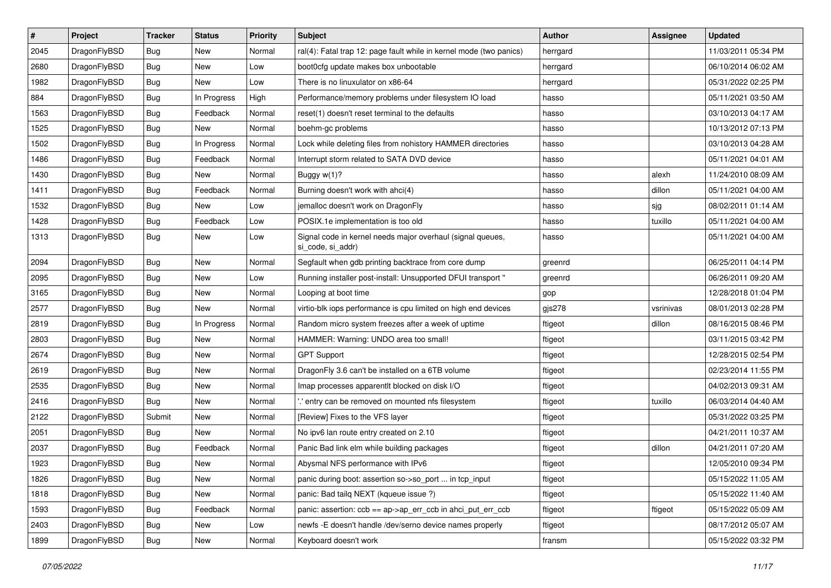| $\sharp$ | Project      | <b>Tracker</b> | <b>Status</b> | <b>Priority</b> | Subject                                                                         | Author   | Assignee  | <b>Updated</b>      |
|----------|--------------|----------------|---------------|-----------------|---------------------------------------------------------------------------------|----------|-----------|---------------------|
| 2045     | DragonFlyBSD | <b>Bug</b>     | New           | Normal          | ral(4): Fatal trap 12: page fault while in kernel mode (two panics)             | herrgard |           | 11/03/2011 05:34 PM |
| 2680     | DragonFlyBSD | Bug            | New           | Low             | boot0cfg update makes box unbootable                                            | herrgard |           | 06/10/2014 06:02 AM |
| 1982     | DragonFlyBSD | <b>Bug</b>     | New           | Low             | There is no linuxulator on x86-64                                               | herrgard |           | 05/31/2022 02:25 PM |
| 884      | DragonFlyBSD | Bug            | In Progress   | High            | Performance/memory problems under filesystem IO load                            | hasso    |           | 05/11/2021 03:50 AM |
| 1563     | DragonFlyBSD | Bug            | Feedback      | Normal          | reset(1) doesn't reset terminal to the defaults                                 | hasso    |           | 03/10/2013 04:17 AM |
| 1525     | DragonFlyBSD | <b>Bug</b>     | <b>New</b>    | Normal          | boehm-gc problems                                                               | hasso    |           | 10/13/2012 07:13 PM |
| 1502     | DragonFlyBSD | Bug            | In Progress   | Normal          | Lock while deleting files from nohistory HAMMER directories                     | hasso    |           | 03/10/2013 04:28 AM |
| 1486     | DragonFlyBSD | <b>Bug</b>     | Feedback      | Normal          | Interrupt storm related to SATA DVD device                                      | hasso    |           | 05/11/2021 04:01 AM |
| 1430     | DragonFlyBSD | <b>Bug</b>     | <b>New</b>    | Normal          | Buggy w(1)?                                                                     | hasso    | alexh     | 11/24/2010 08:09 AM |
| 1411     | DragonFlyBSD | Bug            | Feedback      | Normal          | Burning doesn't work with ahci(4)                                               | hasso    | dillon    | 05/11/2021 04:00 AM |
| 1532     | DragonFlyBSD | Bug            | New           | Low             | jemalloc doesn't work on DragonFly                                              | hasso    | sjg       | 08/02/2011 01:14 AM |
| 1428     | DragonFlyBSD | Bug            | Feedback      | Low             | POSIX.1e implementation is too old                                              | hasso    | tuxillo   | 05/11/2021 04:00 AM |
| 1313     | DragonFlyBSD | Bug            | <b>New</b>    | Low             | Signal code in kernel needs major overhaul (signal queues,<br>si_code, si_addr) | hasso    |           | 05/11/2021 04:00 AM |
| 2094     | DragonFlyBSD | Bug            | New           | Normal          | Segfault when gdb printing backtrace from core dump                             | greenrd  |           | 06/25/2011 04:14 PM |
| 2095     | DragonFlyBSD | Bug            | <b>New</b>    | Low             | Running installer post-install: Unsupported DFUI transport "                    | greenrd  |           | 06/26/2011 09:20 AM |
| 3165     | DragonFlyBSD | Bug            | <b>New</b>    | Normal          | Looping at boot time                                                            | gop      |           | 12/28/2018 01:04 PM |
| 2577     | DragonFlyBSD | Bug            | <b>New</b>    | Normal          | virtio-blk iops performance is cpu limited on high end devices                  | gjs278   | vsrinivas | 08/01/2013 02:28 PM |
| 2819     | DragonFlyBSD | <b>Bug</b>     | In Progress   | Normal          | Random micro system freezes after a week of uptime                              | ftigeot  | dillon    | 08/16/2015 08:46 PM |
| 2803     | DragonFlyBSD | <b>Bug</b>     | New           | Normal          | HAMMER: Warning: UNDO area too small!                                           | ftigeot  |           | 03/11/2015 03:42 PM |
| 2674     | DragonFlyBSD | <b>Bug</b>     | New           | Normal          | <b>GPT Support</b>                                                              | ftigeot  |           | 12/28/2015 02:54 PM |
| 2619     | DragonFlyBSD | <b>Bug</b>     | <b>New</b>    | Normal          | DragonFly 3.6 can't be installed on a 6TB volume                                | ftigeot  |           | 02/23/2014 11:55 PM |
| 2535     | DragonFlyBSD | Bug            | New           | Normal          | Imap processes apparentlt blocked on disk I/O                                   | ftigeot  |           | 04/02/2013 09:31 AM |
| 2416     | DragonFlyBSD | <b>Bug</b>     | New           | Normal          | ".' entry can be removed on mounted nfs filesystem                              | ftigeot  | tuxillo   | 06/03/2014 04:40 AM |
| 2122     | DragonFlyBSD | Submit         | New           | Normal          | [Review] Fixes to the VFS layer                                                 | ftigeot  |           | 05/31/2022 03:25 PM |
| 2051     | DragonFlyBSD | <b>Bug</b>     | New           | Normal          | No ipv6 lan route entry created on 2.10                                         | ftigeot  |           | 04/21/2011 10:37 AM |
| 2037     | DragonFlyBSD | <b>Bug</b>     | Feedback      | Normal          | Panic Bad link elm while building packages                                      | ftigeot  | dillon    | 04/21/2011 07:20 AM |
| 1923     | DragonFlyBSD | <b>Bug</b>     | New           | Normal          | Abysmal NFS performance with IPv6                                               | ftigeot  |           | 12/05/2010 09:34 PM |
| 1826     | DragonFlyBSD | <b>Bug</b>     | New           | Normal          | panic during boot: assertion so->so_port  in tcp_input                          | ftigeot  |           | 05/15/2022 11:05 AM |
| 1818     | DragonFlyBSD | <b>Bug</b>     | New           | Normal          | panic: Bad tailq NEXT (kqueue issue ?)                                          | ftigeot  |           | 05/15/2022 11:40 AM |
| 1593     | DragonFlyBSD | <b>Bug</b>     | Feedback      | Normal          | panic: assertion: $ccb = ap$ ->ap err $ccb$ in ahci put err $ccb$               | ftigeot  | ftigeot   | 05/15/2022 05:09 AM |
| 2403     | DragonFlyBSD | <b>Bug</b>     | New           | Low             | newfs - E doesn't handle /dev/serno device names properly                       | ftigeot  |           | 08/17/2012 05:07 AM |
| 1899     | DragonFlyBSD | <b>Bug</b>     | New           | Normal          | Keyboard doesn't work                                                           | fransm   |           | 05/15/2022 03:32 PM |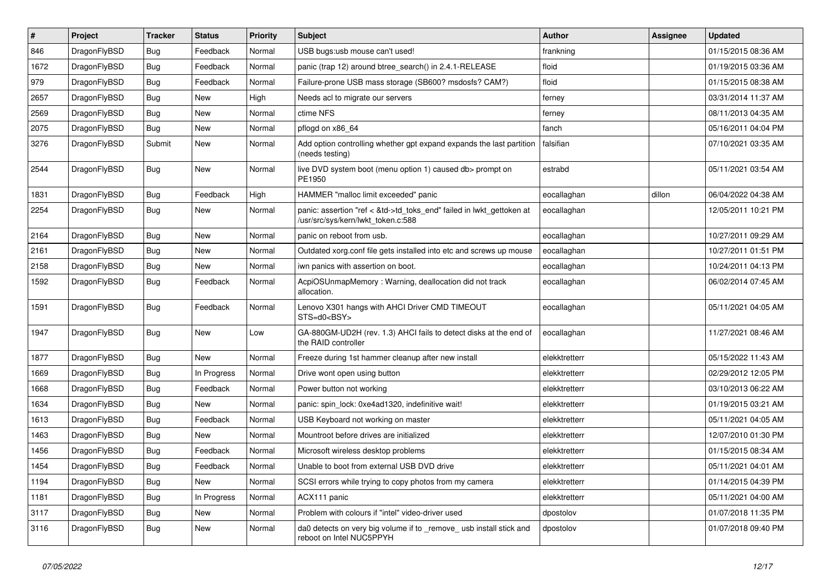| $\vert$ # | Project      | <b>Tracker</b> | <b>Status</b> | <b>Priority</b> | <b>Subject</b>                                                                                             | Author        | <b>Assignee</b> | <b>Updated</b>      |
|-----------|--------------|----------------|---------------|-----------------|------------------------------------------------------------------------------------------------------------|---------------|-----------------|---------------------|
| 846       | DragonFlyBSD | <b>Bug</b>     | Feedback      | Normal          | USB bugs:usb mouse can't used!                                                                             | frankning     |                 | 01/15/2015 08:36 AM |
| 1672      | DragonFlyBSD | <b>Bug</b>     | Feedback      | Normal          | panic (trap 12) around btree_search() in 2.4.1-RELEASE                                                     | floid         |                 | 01/19/2015 03:36 AM |
| 979       | DragonFlyBSD | <b>Bug</b>     | Feedback      | Normal          | Failure-prone USB mass storage (SB600? msdosfs? CAM?)                                                      | floid         |                 | 01/15/2015 08:38 AM |
| 2657      | DragonFlyBSD | Bug            | <b>New</b>    | High            | Needs acl to migrate our servers                                                                           | ferney        |                 | 03/31/2014 11:37 AM |
| 2569      | DragonFlyBSD | <b>Bug</b>     | <b>New</b>    | Normal          | ctime NFS                                                                                                  | ferney        |                 | 08/11/2013 04:35 AM |
| 2075      | DragonFlyBSD | <b>Bug</b>     | <b>New</b>    | Normal          | pflogd on x86 64                                                                                           | fanch         |                 | 05/16/2011 04:04 PM |
| 3276      | DragonFlyBSD | Submit         | <b>New</b>    | Normal          | Add option controlling whether gpt expand expands the last partition<br>(needs testing)                    | falsifian     |                 | 07/10/2021 03:35 AM |
| 2544      | DragonFlyBSD | Bug            | <b>New</b>    | Normal          | live DVD system boot (menu option 1) caused db> prompt on<br>PE1950                                        | estrabd       |                 | 05/11/2021 03:54 AM |
| 1831      | DragonFlyBSD | <b>Bug</b>     | Feedback      | High            | HAMMER "malloc limit exceeded" panic                                                                       | eocallaghan   | dillon          | 06/04/2022 04:38 AM |
| 2254      | DragonFlyBSD | Bug            | New           | Normal          | panic: assertion "ref < &td->td_toks_end" failed in lwkt_gettoken at<br>/usr/src/sys/kern/lwkt_token.c:588 | eocallaghan   |                 | 12/05/2011 10:21 PM |
| 2164      | DragonFlyBSD | <b>Bug</b>     | <b>New</b>    | Normal          | panic on reboot from usb.                                                                                  | eocallaghan   |                 | 10/27/2011 09:29 AM |
| 2161      | DragonFlyBSD | Bug            | <b>New</b>    | Normal          | Outdated xorg.conf file gets installed into etc and screws up mouse                                        | eocallaghan   |                 | 10/27/2011 01:51 PM |
| 2158      | DragonFlyBSD | <b>Bug</b>     | New           | Normal          | iwn panics with assertion on boot.                                                                         | eocallaghan   |                 | 10/24/2011 04:13 PM |
| 1592      | DragonFlyBSD | Bug            | Feedback      | Normal          | AcpiOSUnmapMemory: Warning, deallocation did not track<br>allocation.                                      | eocallaghan   |                 | 06/02/2014 07:45 AM |
| 1591      | DragonFlyBSD | <b>Bug</b>     | Feedback      | Normal          | Lenovo X301 hangs with AHCI Driver CMD TIMEOUT<br>STS=d0 <bsy></bsy>                                       | eocallaghan   |                 | 05/11/2021 04:05 AM |
| 1947      | DragonFlyBSD | <b>Bug</b>     | <b>New</b>    | Low             | GA-880GM-UD2H (rev. 1.3) AHCI fails to detect disks at the end of<br>the RAID controller                   | eocallaghan   |                 | 11/27/2021 08:46 AM |
| 1877      | DragonFlyBSD | Bug            | <b>New</b>    | Normal          | Freeze during 1st hammer cleanup after new install                                                         | elekktretterr |                 | 05/15/2022 11:43 AM |
| 1669      | DragonFlyBSD | <b>Bug</b>     | In Progress   | Normal          | Drive wont open using button                                                                               | elekktretterr |                 | 02/29/2012 12:05 PM |
| 1668      | DragonFlyBSD | <b>Bug</b>     | Feedback      | Normal          | Power button not working                                                                                   | elekktretterr |                 | 03/10/2013 06:22 AM |
| 1634      | DragonFlyBSD | Bug            | New           | Normal          | panic: spin_lock: 0xe4ad1320, indefinitive wait!                                                           | elekktretterr |                 | 01/19/2015 03:21 AM |
| 1613      | DragonFlyBSD | <b>Bug</b>     | Feedback      | Normal          | USB Keyboard not working on master                                                                         | elekktretterr |                 | 05/11/2021 04:05 AM |
| 1463      | DragonFlyBSD | Bug            | <b>New</b>    | Normal          | Mountroot before drives are initialized                                                                    | elekktretterr |                 | 12/07/2010 01:30 PM |
| 1456      | DragonFlyBSD | <b>Bug</b>     | Feedback      | Normal          | Microsoft wireless desktop problems                                                                        | elekktretterr |                 | 01/15/2015 08:34 AM |
| 1454      | DragonFlyBSD | Bug            | Feedback      | Normal          | Unable to boot from external USB DVD drive                                                                 | elekktretterr |                 | 05/11/2021 04:01 AM |
| 1194      | DragonFlyBSD | Bug            | New           | Normal          | SCSI errors while trying to copy photos from my camera                                                     | elekktretterr |                 | 01/14/2015 04:39 PM |
| 1181      | DragonFlyBSD | <b>Bug</b>     | In Progress   | Normal          | ACX111 panic                                                                                               | elekktretterr |                 | 05/11/2021 04:00 AM |
| 3117      | DragonFlyBSD | <b>Bug</b>     | New           | Normal          | Problem with colours if "intel" video-driver used                                                          | dpostolov     |                 | 01/07/2018 11:35 PM |
| 3116      | DragonFlyBSD | <b>Bug</b>     | New           | Normal          | da0 detects on very big volume if to _remove_ usb install stick and<br>reboot on Intel NUC5PPYH            | dpostolov     |                 | 01/07/2018 09:40 PM |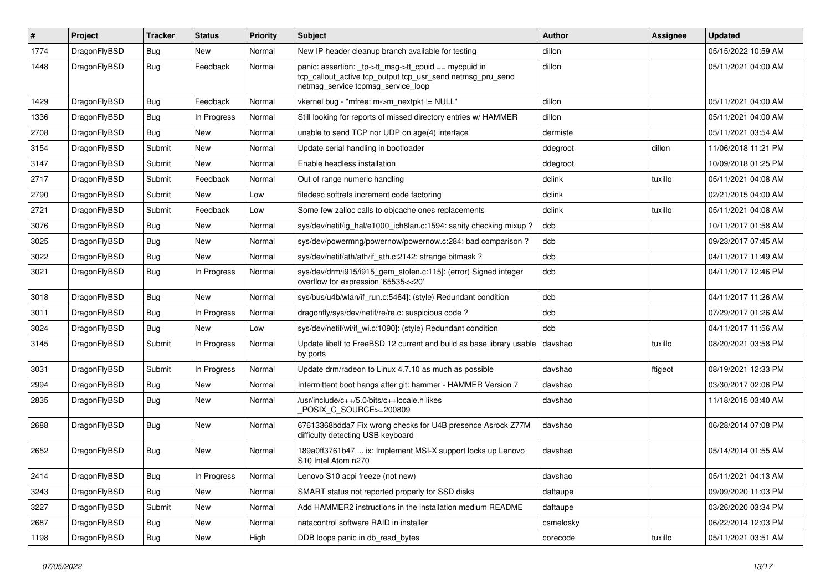| $\pmb{\#}$ | Project      | <b>Tracker</b> | <b>Status</b> | <b>Priority</b> | Subject                                                                                                                                                   | Author    | <b>Assignee</b> | <b>Updated</b>      |
|------------|--------------|----------------|---------------|-----------------|-----------------------------------------------------------------------------------------------------------------------------------------------------------|-----------|-----------------|---------------------|
| 1774       | DragonFlyBSD | Bug            | New           | Normal          | New IP header cleanup branch available for testing                                                                                                        | dillon    |                 | 05/15/2022 10:59 AM |
| 1448       | DragonFlyBSD | Bug            | Feedback      | Normal          | panic: assertion: _tp->tt_msg->tt_cpuid == mycpuid in<br>tcp_callout_active tcp_output tcp_usr_send netmsg_pru_send<br>netmsg_service tcpmsg_service_loop | dillon    |                 | 05/11/2021 04:00 AM |
| 1429       | DragonFlyBSD | <b>Bug</b>     | Feedback      | Normal          | vkernel bug - "mfree: m->m_nextpkt != NULL"                                                                                                               | dillon    |                 | 05/11/2021 04:00 AM |
| 1336       | DragonFlyBSD | Bug            | In Progress   | Normal          | Still looking for reports of missed directory entries w/ HAMMER                                                                                           | dillon    |                 | 05/11/2021 04:00 AM |
| 2708       | DragonFlyBSD | Bug            | <b>New</b>    | Normal          | unable to send TCP nor UDP on age(4) interface                                                                                                            | dermiste  |                 | 05/11/2021 03:54 AM |
| 3154       | DragonFlyBSD | Submit         | New           | Normal          | Update serial handling in bootloader                                                                                                                      | ddegroot  | dillon          | 11/06/2018 11:21 PM |
| 3147       | DragonFlyBSD | Submit         | New           | Normal          | Enable headless installation                                                                                                                              | ddegroot  |                 | 10/09/2018 01:25 PM |
| 2717       | DragonFlyBSD | Submit         | Feedback      | Normal          | Out of range numeric handling                                                                                                                             | dclink    | tuxillo         | 05/11/2021 04:08 AM |
| 2790       | DragonFlyBSD | Submit         | New           | Low             | filedesc softrefs increment code factoring                                                                                                                | dclink    |                 | 02/21/2015 04:00 AM |
| 2721       | DragonFlyBSD | Submit         | Feedback      | Low             | Some few zalloc calls to objcache ones replacements                                                                                                       | dclink    | tuxillo         | 05/11/2021 04:08 AM |
| 3076       | DragonFlyBSD | Bug            | New           | Normal          | sys/dev/netif/ig_hal/e1000_ich8lan.c:1594: sanity checking mixup?                                                                                         | dcb       |                 | 10/11/2017 01:58 AM |
| 3025       | DragonFlyBSD | Bug            | <b>New</b>    | Normal          | sys/dev/powermng/powernow/powernow.c:284: bad comparison?                                                                                                 | dcb       |                 | 09/23/2017 07:45 AM |
| 3022       | DragonFlyBSD | Bug            | New           | Normal          | sys/dev/netif/ath/ath/if_ath.c:2142: strange bitmask?                                                                                                     | dcb       |                 | 04/11/2017 11:49 AM |
| 3021       | DragonFlyBSD | Bug            | In Progress   | Normal          | sys/dev/drm/i915/i915_gem_stolen.c:115]: (error) Signed integer<br>overflow for expression '65535<<20'                                                    | dcb       |                 | 04/11/2017 12:46 PM |
| 3018       | DragonFlyBSD | Bug            | <b>New</b>    | Normal          | sys/bus/u4b/wlan/if_run.c:5464]: (style) Redundant condition                                                                                              | dcb       |                 | 04/11/2017 11:26 AM |
| 3011       | DragonFlyBSD | <b>Bug</b>     | In Progress   | Normal          | dragonfly/sys/dev/netif/re/re.c: suspicious code?                                                                                                         | dcb       |                 | 07/29/2017 01:26 AM |
| 3024       | DragonFlyBSD | Bug            | <b>New</b>    | Low             | sys/dev/netif/wi/if_wi.c:1090]: (style) Redundant condition                                                                                               | dcb       |                 | 04/11/2017 11:56 AM |
| 3145       | DragonFlyBSD | Submit         | In Progress   | Normal          | Update libelf to FreeBSD 12 current and build as base library usable<br>by ports                                                                          | davshao   | tuxillo         | 08/20/2021 03:58 PM |
| 3031       | DragonFlyBSD | Submit         | In Progress   | Normal          | Update drm/radeon to Linux 4.7.10 as much as possible                                                                                                     | davshao   | ftigeot         | 08/19/2021 12:33 PM |
| 2994       | DragonFlyBSD | Bug            | New           | Normal          | Intermittent boot hangs after git: hammer - HAMMER Version 7                                                                                              | davshao   |                 | 03/30/2017 02:06 PM |
| 2835       | DragonFlyBSD | Bug            | New           | Normal          | /usr/include/c++/5.0/bits/c++locale.h likes<br>POSIX C SOURCE>=200809                                                                                     | davshao   |                 | 11/18/2015 03:40 AM |
| 2688       | DragonFlyBSD | Bug            | New           | Normal          | 67613368bdda7 Fix wrong checks for U4B presence Asrock Z77M<br>difficulty detecting USB keyboard                                                          | davshao   |                 | 06/28/2014 07:08 PM |
| 2652       | DragonFlyBSD | Bug            | New           | Normal          | 189a0ff3761b47  ix: Implement MSI-X support locks up Lenovo<br>S10 Intel Atom n270                                                                        | davshao   |                 | 05/14/2014 01:55 AM |
| 2414       | DragonFlyBSD | Bug            | In Progress   | Normal          | Lenovo S10 acpi freeze (not new)                                                                                                                          | davshao   |                 | 05/11/2021 04:13 AM |
| 3243       | DragonFlyBSD | Bug            | New           | Normal          | SMART status not reported properly for SSD disks                                                                                                          | daftaupe  |                 | 09/09/2020 11:03 PM |
| 3227       | DragonFlyBSD | Submit         | New           | Normal          | Add HAMMER2 instructions in the installation medium README                                                                                                | daftaupe  |                 | 03/26/2020 03:34 PM |
| 2687       | DragonFlyBSD | Bug            | New           | Normal          | natacontrol software RAID in installer                                                                                                                    | csmelosky |                 | 06/22/2014 12:03 PM |
| 1198       | DragonFlyBSD | <b>Bug</b>     | New           | High            | DDB loops panic in db_read_bytes                                                                                                                          | corecode  | tuxillo         | 05/11/2021 03:51 AM |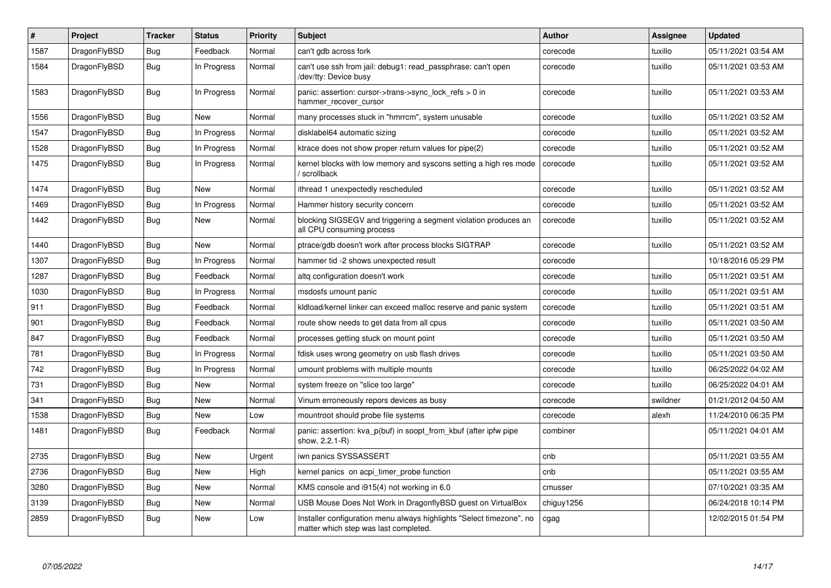| $\vert$ # | Project      | <b>Tracker</b> | <b>Status</b> | <b>Priority</b> | <b>Subject</b>                                                                                                | <b>Author</b> | Assignee | <b>Updated</b>      |
|-----------|--------------|----------------|---------------|-----------------|---------------------------------------------------------------------------------------------------------------|---------------|----------|---------------------|
| 1587      | DragonFlyBSD | <b>Bug</b>     | Feedback      | Normal          | can't gdb across fork                                                                                         | corecode      | tuxillo  | 05/11/2021 03:54 AM |
| 1584      | DragonFlyBSD | Bug            | In Progress   | Normal          | can't use ssh from jail: debug1: read passphrase: can't open<br>/dev/tty: Device busy                         | corecode      | tuxillo  | 05/11/2021 03:53 AM |
| 1583      | DragonFlyBSD | <b>Bug</b>     | In Progress   | Normal          | panic: assertion: cursor->trans->sync_lock_refs > 0 in<br>hammer_recover_cursor                               | corecode      | tuxillo  | 05/11/2021 03:53 AM |
| 1556      | DragonFlyBSD | Bug            | New           | Normal          | many processes stuck in "hmrrcm", system unusable                                                             | corecode      | tuxillo  | 05/11/2021 03:52 AM |
| 1547      | DragonFlyBSD | Bug            | In Progress   | Normal          | disklabel64 automatic sizing                                                                                  | corecode      | tuxillo  | 05/11/2021 03:52 AM |
| 1528      | DragonFlyBSD | <b>Bug</b>     | In Progress   | Normal          | ktrace does not show proper return values for pipe(2)                                                         | corecode      | tuxillo  | 05/11/2021 03:52 AM |
| 1475      | DragonFlyBSD | Bug            | In Progress   | Normal          | kernel blocks with low memory and syscons setting a high res mode<br>' scrollback                             | corecode      | tuxillo  | 05/11/2021 03:52 AM |
| 1474      | DragonFlyBSD | Bug            | New           | Normal          | ithread 1 unexpectedly rescheduled                                                                            | corecode      | tuxillo  | 05/11/2021 03:52 AM |
| 1469      | DragonFlyBSD | <b>Bug</b>     | In Progress   | Normal          | Hammer history security concern                                                                               | corecode      | tuxillo  | 05/11/2021 03:52 AM |
| 1442      | DragonFlyBSD | <b>Bug</b>     | New           | Normal          | blocking SIGSEGV and triggering a segment violation produces an<br>all CPU consuming process                  | corecode      | tuxillo  | 05/11/2021 03:52 AM |
| 1440      | DragonFlyBSD | Bug            | <b>New</b>    | Normal          | ptrace/gdb doesn't work after process blocks SIGTRAP                                                          | corecode      | tuxillo  | 05/11/2021 03:52 AM |
| 1307      | DragonFlyBSD | Bug            | In Progress   | Normal          | hammer tid -2 shows unexpected result                                                                         | corecode      |          | 10/18/2016 05:29 PM |
| 1287      | DragonFlyBSD | Bug            | Feedback      | Normal          | altg configuration doesn't work                                                                               | corecode      | tuxillo  | 05/11/2021 03:51 AM |
| 1030      | DragonFlyBSD | Bug            | In Progress   | Normal          | msdosfs umount panic                                                                                          | corecode      | tuxillo  | 05/11/2021 03:51 AM |
| 911       | DragonFlyBSD | <b>Bug</b>     | Feedback      | Normal          | kldload/kernel linker can exceed malloc reserve and panic system                                              | corecode      | tuxillo  | 05/11/2021 03:51 AM |
| 901       | DragonFlyBSD | Bug            | Feedback      | Normal          | route show needs to get data from all cpus                                                                    | corecode      | tuxillo  | 05/11/2021 03:50 AM |
| 847       | DragonFlyBSD | Bug            | Feedback      | Normal          | processes getting stuck on mount point                                                                        | corecode      | tuxillo  | 05/11/2021 03:50 AM |
| 781       | DragonFlyBSD | Bug            | In Progress   | Normal          | fdisk uses wrong geometry on usb flash drives                                                                 | corecode      | tuxillo  | 05/11/2021 03:50 AM |
| 742       | DragonFlyBSD | <b>Bug</b>     | In Progress   | Normal          | umount problems with multiple mounts                                                                          | corecode      | tuxillo  | 06/25/2022 04:02 AM |
| 731       | DragonFlyBSD | Bug            | New           | Normal          | system freeze on "slice too large"                                                                            | corecode      | tuxillo  | 06/25/2022 04:01 AM |
| 341       | DragonFlyBSD | <b>Bug</b>     | <b>New</b>    | Normal          | Vinum erroneously repors devices as busy                                                                      | corecode      | swildner | 01/21/2012 04:50 AM |
| 1538      | DragonFlyBSD | <b>Bug</b>     | New           | Low             | mountroot should probe file systems                                                                           | corecode      | alexh    | 11/24/2010 06:35 PM |
| 1481      | DragonFlyBSD | <b>Bug</b>     | Feedback      | Normal          | panic: assertion: kva_p(buf) in soopt_from_kbuf (after ipfw pipe<br>show, 2.2.1-R)                            | combiner      |          | 05/11/2021 04:01 AM |
| 2735      | DragonFlyBSD | <b>Bug</b>     | <b>New</b>    | Urgent          | iwn panics SYSSASSERT                                                                                         | cnb           |          | 05/11/2021 03:55 AM |
| 2736      | DragonFlyBSD | <b>Bug</b>     | New           | High            | kernel panics on acpi timer probe function                                                                    | cnb           |          | 05/11/2021 03:55 AM |
| 3280      | DragonFlyBSD | Bug            | New           | Normal          | KMS console and i915(4) not working in 6.0                                                                    | cmusser       |          | 07/10/2021 03:35 AM |
| 3139      | DragonFlyBSD | <b>Bug</b>     | New           | Normal          | USB Mouse Does Not Work in DragonflyBSD guest on VirtualBox                                                   | chiguy1256    |          | 06/24/2018 10:14 PM |
| 2859      | DragonFlyBSD | Bug            | <b>New</b>    | Low             | Installer configuration menu always highlights "Select timezone", no<br>matter which step was last completed. | cgag          |          | 12/02/2015 01:54 PM |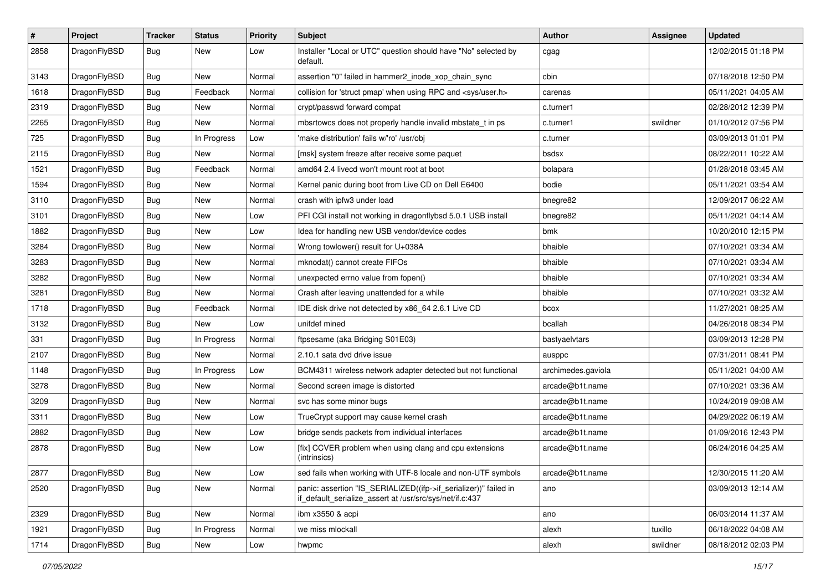| $\vert$ # | Project      | <b>Tracker</b> | <b>Status</b> | <b>Priority</b> | <b>Subject</b>                                                                                                               | Author             | Assignee | <b>Updated</b>      |
|-----------|--------------|----------------|---------------|-----------------|------------------------------------------------------------------------------------------------------------------------------|--------------------|----------|---------------------|
| 2858      | DragonFlyBSD | Bug            | New           | Low             | Installer "Local or UTC" question should have "No" selected by<br>default.                                                   | cgag               |          | 12/02/2015 01:18 PM |
| 3143      | DragonFlyBSD | <b>Bug</b>     | New           | Normal          | assertion "0" failed in hammer2 inode xop chain sync                                                                         | cbin               |          | 07/18/2018 12:50 PM |
| 1618      | DragonFlyBSD | Bug            | Feedback      | Normal          | collision for 'struct pmap' when using RPC and <sys user.h=""></sys>                                                         | carenas            |          | 05/11/2021 04:05 AM |
| 2319      | DragonFlyBSD | Bug            | <b>New</b>    | Normal          | crypt/passwd forward compat                                                                                                  | c.turner1          |          | 02/28/2012 12:39 PM |
| 2265      | DragonFlyBSD | <b>Bug</b>     | New           | Normal          | mbsrtowcs does not properly handle invalid mbstate t in ps                                                                   | c.turner1          | swildner | 01/10/2012 07:56 PM |
| 725       | DragonFlyBSD | Bug            | In Progress   | Low             | 'make distribution' fails w/'ro' /usr/obi                                                                                    | c.turner           |          | 03/09/2013 01:01 PM |
| 2115      | DragonFlyBSD | <b>Bug</b>     | New           | Normal          | [msk] system freeze after receive some paquet                                                                                | bsdsx              |          | 08/22/2011 10:22 AM |
| 1521      | DragonFlyBSD | Bug            | Feedback      | Normal          | amd64 2.4 livecd won't mount root at boot                                                                                    | bolapara           |          | 01/28/2018 03:45 AM |
| 1594      | DragonFlyBSD | <b>Bug</b>     | <b>New</b>    | Normal          | Kernel panic during boot from Live CD on Dell E6400                                                                          | bodie              |          | 05/11/2021 03:54 AM |
| 3110      | DragonFlyBSD | <b>Bug</b>     | New           | Normal          | crash with ipfw3 under load                                                                                                  | bnegre82           |          | 12/09/2017 06:22 AM |
| 3101      | DragonFlyBSD | Bug            | <b>New</b>    | Low             | PFI CGI install not working in dragonflybsd 5.0.1 USB install                                                                | bnegre82           |          | 05/11/2021 04:14 AM |
| 1882      | DragonFlyBSD | <b>Bug</b>     | New           | Low             | Idea for handling new USB vendor/device codes                                                                                | bmk                |          | 10/20/2010 12:15 PM |
| 3284      | DragonFlyBSD | Bug            | New           | Normal          | Wrong towlower() result for U+038A                                                                                           | bhaible            |          | 07/10/2021 03:34 AM |
| 3283      | DragonFlyBSD | Bug            | <b>New</b>    | Normal          | mknodat() cannot create FIFOs                                                                                                | bhaible            |          | 07/10/2021 03:34 AM |
| 3282      | DragonFlyBSD | <b>Bug</b>     | New           | Normal          | unexpected errno value from fopen()                                                                                          | bhaible            |          | 07/10/2021 03:34 AM |
| 3281      | DragonFlyBSD | Bug            | New           | Normal          | Crash after leaving unattended for a while                                                                                   | bhaible            |          | 07/10/2021 03:32 AM |
| 1718      | DragonFlyBSD | Bug            | Feedback      | Normal          | IDE disk drive not detected by x86_64 2.6.1 Live CD                                                                          | bcox               |          | 11/27/2021 08:25 AM |
| 3132      | DragonFlyBSD | <b>Bug</b>     | New           | Low             | unifdef mined                                                                                                                | bcallah            |          | 04/26/2018 08:34 PM |
| 331       | DragonFlyBSD | Bug            | In Progress   | Normal          | ftpsesame (aka Bridging S01E03)                                                                                              | bastyaelvtars      |          | 03/09/2013 12:28 PM |
| 2107      | DragonFlyBSD | <b>Bug</b>     | New           | Normal          | 2.10.1 sata dvd drive issue                                                                                                  | ausppc             |          | 07/31/2011 08:41 PM |
| 1148      | DragonFlyBSD | <b>Bug</b>     | In Progress   | Low             | BCM4311 wireless network adapter detected but not functional                                                                 | archimedes.gaviola |          | 05/11/2021 04:00 AM |
| 3278      | DragonFlyBSD | Bug            | <b>New</b>    | Normal          | Second screen image is distorted                                                                                             | arcade@b1t.name    |          | 07/10/2021 03:36 AM |
| 3209      | DragonFlyBSD | <b>Bug</b>     | New           | Normal          | svc has some minor bugs                                                                                                      | arcade@b1t.name    |          | 10/24/2019 09:08 AM |
| 3311      | DragonFlyBSD | Bug            | <b>New</b>    | Low             | TrueCrypt support may cause kernel crash                                                                                     | arcade@b1t.name    |          | 04/29/2022 06:19 AM |
| 2882      | DragonFlyBSD | Bug            | New           | Low             | bridge sends packets from individual interfaces                                                                              | arcade@b1t.name    |          | 01/09/2016 12:43 PM |
| 2878      | DragonFlyBSD | Bug            | New           | Low             | [fix] CCVER problem when using clang and cpu extensions<br>(intrinsics)                                                      | arcade@b1t.name    |          | 06/24/2016 04:25 AM |
| 2877      | DragonFlyBSD | Bug            | New           | Low             | sed fails when working with UTF-8 locale and non-UTF symbols                                                                 | arcade@b1t.name    |          | 12/30/2015 11:20 AM |
| 2520      | DragonFlyBSD | <b>Bug</b>     | New           | Normal          | panic: assertion "IS_SERIALIZED((ifp->if_serializer))" failed in<br>if_default_serialize_assert at /usr/src/sys/net/if.c:437 | ano                |          | 03/09/2013 12:14 AM |
| 2329      | DragonFlyBSD | <b>Bug</b>     | New           | Normal          | ibm x3550 & acpi                                                                                                             | ano                |          | 06/03/2014 11:37 AM |
| 1921      | DragonFlyBSD | Bug            | In Progress   | Normal          | we miss mlockall                                                                                                             | alexh              | tuxillo  | 06/18/2022 04:08 AM |
| 1714      | DragonFlyBSD | Bug            | New           | Low             | hwpmc                                                                                                                        | alexh              | swildner | 08/18/2012 02:03 PM |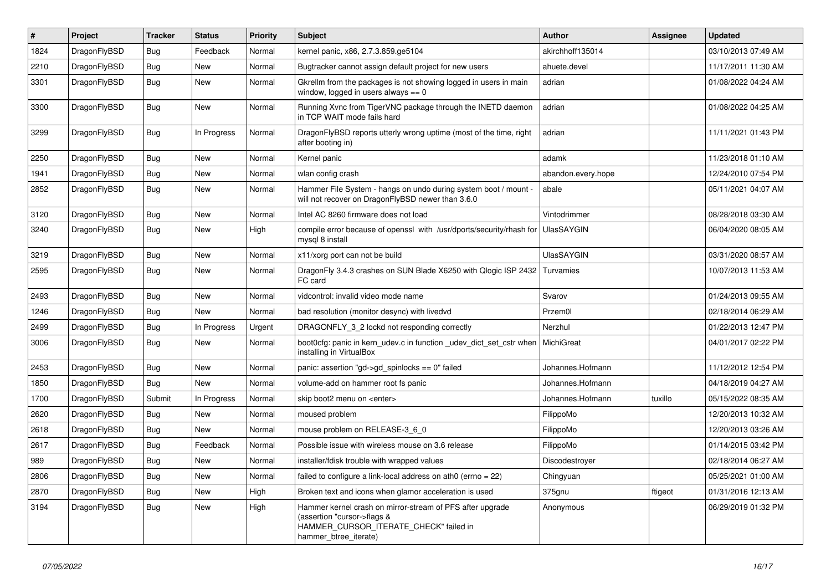| $\sharp$ | Project      | <b>Tracker</b> | <b>Status</b> | <b>Priority</b> | <b>Subject</b>                                                                                                                                              | <b>Author</b>      | Assignee | <b>Updated</b>      |
|----------|--------------|----------------|---------------|-----------------|-------------------------------------------------------------------------------------------------------------------------------------------------------------|--------------------|----------|---------------------|
| 1824     | DragonFlyBSD | Bug            | Feedback      | Normal          | kernel panic, x86, 2.7.3.859.ge5104                                                                                                                         | akirchhoff135014   |          | 03/10/2013 07:49 AM |
| 2210     | DragonFlyBSD | Bug            | <b>New</b>    | Normal          | Bugtracker cannot assign default project for new users                                                                                                      | ahuete.devel       |          | 11/17/2011 11:30 AM |
| 3301     | DragonFlyBSD | Bug            | <b>New</b>    | Normal          | Gkrellm from the packages is not showing logged in users in main<br>window, logged in users always $== 0$                                                   | adrian             |          | 01/08/2022 04:24 AM |
| 3300     | DragonFlyBSD | <b>Bug</b>     | <b>New</b>    | Normal          | Running Xvnc from TigerVNC package through the INETD daemon<br>in TCP WAIT mode fails hard                                                                  | adrian             |          | 01/08/2022 04:25 AM |
| 3299     | DragonFlyBSD | <b>Bug</b>     | In Progress   | Normal          | DragonFlyBSD reports utterly wrong uptime (most of the time, right<br>after booting in)                                                                     | adrian             |          | 11/11/2021 01:43 PM |
| 2250     | DragonFlyBSD | Bug            | <b>New</b>    | Normal          | Kernel panic                                                                                                                                                | adamk              |          | 11/23/2018 01:10 AM |
| 1941     | DragonFlyBSD | Bug            | New           | Normal          | wlan config crash                                                                                                                                           | abandon.every.hope |          | 12/24/2010 07:54 PM |
| 2852     | DragonFlyBSD | Bug            | <b>New</b>    | Normal          | Hammer File System - hangs on undo during system boot / mount -<br>will not recover on DragonFlyBSD newer than 3.6.0                                        | abale              |          | 05/11/2021 04:07 AM |
| 3120     | DragonFlyBSD | <b>Bug</b>     | <b>New</b>    | Normal          | Intel AC 8260 firmware does not load                                                                                                                        | Vintodrimmer       |          | 08/28/2018 03:30 AM |
| 3240     | DragonFlyBSD | <b>Bug</b>     | <b>New</b>    | High            | compile error because of openssl with /usr/dports/security/rhash for<br>mysql 8 install                                                                     | <b>UlasSAYGIN</b>  |          | 06/04/2020 08:05 AM |
| 3219     | DragonFlyBSD | Bug            | <b>New</b>    | Normal          | x11/xorg port can not be build                                                                                                                              | <b>UlasSAYGIN</b>  |          | 03/31/2020 08:57 AM |
| 2595     | DragonFlyBSD | Bug            | <b>New</b>    | Normal          | DragonFly 3.4.3 crashes on SUN Blade X6250 with Qlogic ISP 2432<br>FC card                                                                                  | Turvamies          |          | 10/07/2013 11:53 AM |
| 2493     | DragonFlyBSD | Bug            | <b>New</b>    | Normal          | vidcontrol: invalid video mode name                                                                                                                         | Svarov             |          | 01/24/2013 09:55 AM |
| 1246     | DragonFlyBSD | Bug            | <b>New</b>    | Normal          | bad resolution (monitor desync) with livedvd                                                                                                                | Przem0l            |          | 02/18/2014 06:29 AM |
| 2499     | DragonFlyBSD | <b>Bug</b>     | In Progress   | Urgent          | DRAGONFLY 3 2 lockd not responding correctly                                                                                                                | Nerzhul            |          | 01/22/2013 12:47 PM |
| 3006     | DragonFlyBSD | Bug            | <b>New</b>    | Normal          | boot Ocfg: panic in kern udev.c in function udev dict set cstr when<br>installing in VirtualBox                                                             | MichiGreat         |          | 04/01/2017 02:22 PM |
| 2453     | DragonFlyBSD | <b>Bug</b>     | <b>New</b>    | Normal          | panic: assertion "gd->gd_spinlocks == 0" failed                                                                                                             | Johannes.Hofmann   |          | 11/12/2012 12:54 PM |
| 1850     | DragonFlyBSD | Bug            | <b>New</b>    | Normal          | volume-add on hammer root fs panic                                                                                                                          | Johannes.Hofmann   |          | 04/18/2019 04:27 AM |
| 1700     | DragonFlyBSD | Submit         | In Progress   | Normal          | skip boot2 menu on <enter></enter>                                                                                                                          | Johannes.Hofmann   | tuxillo  | 05/15/2022 08:35 AM |
| 2620     | DragonFlyBSD | Bug            | <b>New</b>    | Normal          | moused problem                                                                                                                                              | FilippoMo          |          | 12/20/2013 10:32 AM |
| 2618     | DragonFlyBSD | Bug            | <b>New</b>    | Normal          | mouse problem on RELEASE-3 6 0                                                                                                                              | FilippoMo          |          | 12/20/2013 03:26 AM |
| 2617     | DragonFlyBSD | <b>Bug</b>     | Feedback      | Normal          | Possible issue with wireless mouse on 3.6 release                                                                                                           | FilippoMo          |          | 01/14/2015 03:42 PM |
| 989      | DragonFlyBSD | <b>Bug</b>     | <b>New</b>    | Normal          | installer/fdisk trouble with wrapped values                                                                                                                 | Discodestroyer     |          | 02/18/2014 06:27 AM |
| 2806     | DragonFlyBSD | Bug            | <b>New</b>    | Normal          | failed to configure a link-local address on ath0 (errno = 22)                                                                                               | Chingyuan          |          | 05/25/2021 01:00 AM |
| 2870     | DragonFlyBSD | <b>Bug</b>     | <b>New</b>    | High            | Broken text and icons when glamor acceleration is used                                                                                                      | 375gnu             | ftigeot  | 01/31/2016 12:13 AM |
| 3194     | DragonFlyBSD | Bug            | <b>New</b>    | High            | Hammer kernel crash on mirror-stream of PFS after upgrade<br>(assertion "cursor->flags &<br>HAMMER_CURSOR_ITERATE_CHECK" failed in<br>hammer btree iterate) | Anonymous          |          | 06/29/2019 01:32 PM |